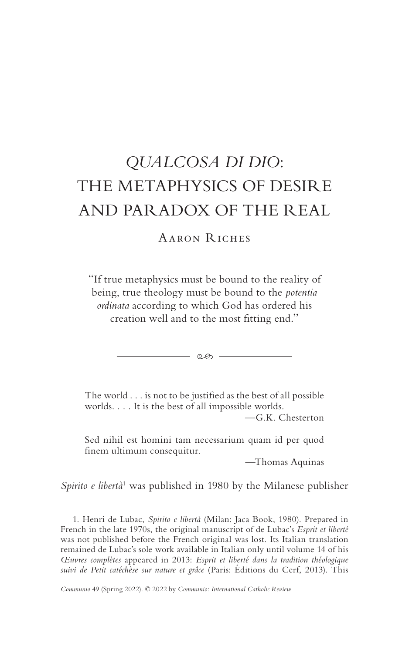# *QUALCOSA DI DIO*: THE METAPHYSICS OF DESIRE AND PARADOX OF THE REAL

# Aaron Riches

"If true metaphysics must be bound to the reality of being, true theology must be bound to the *potentia ordinata* according to which God has ordered his creation well and to the most fitting end."

- ලෙ -

The world . . . is not to be justified as the best of all possible worlds. . . . It is the best of all impossible worlds.

—G.K. Chesterton

Sed nihil est homini tam necessarium quam id per quod finem ultimum consequitur.

*—*Thomas Aquinas

Spirito e libertà<sup>1</sup> was published in 1980 by the Milanese publisher

<sup>1.</sup> Henri de Lubac, *Spirito e libertà* (Milan: Jaca Book, 1980). Prepared in French in the late 1970s, the original manuscript of de Lubac's *Esprit et liberté* was not published before the French original was lost. Its Italian translation remained de Lubac's sole work available in Italian only until volume 14 of his *Œuvres complètes* appeared in 2013: *Esprit et liberté dans la tradition théologique suivi de Petit catéchèse sur nature et grâce* (Paris: Éditions du Cerf, 2013). This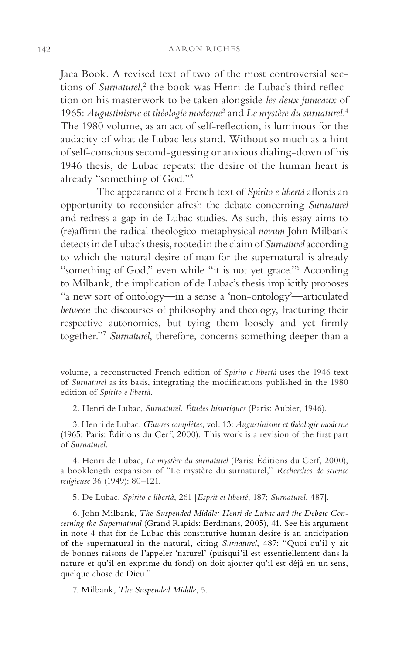Jaca Book. A revised text of two of the most controversial sections of *Surnaturel*,<sup>2</sup> the book was Henri de Lubac's third reflection on his masterwork to be taken alongside *les deux jumeaux* of 1965: Augustinisme et théologie moderne<sup>3</sup> and Le mystère du surnaturel.<sup>4</sup> The 1980 volume, as an act of self-reflection, is luminous for the audacity of what de Lubac lets stand. Without so much as a hint of self-conscious second-guessing or anxious dialing-down of his 1946 thesis, de Lubac repeats: the desire of the human heart is already "something of God."5

The appearance of a French text of *Spirito e libertà* affords an opportunity to reconsider afresh the debate concerning *Surnaturel* and redress a gap in de Lubac studies. As such, this essay aims to (re)affirm the radical theologico-metaphysical *novum* John Milbank detects in de Lubac's thesis, rooted in the claim of *Surnaturel* according to which the natural desire of man for the supernatural is already "something of God," even while "it is not yet grace."6 According to Milbank, the implication of de Lubac's thesis implicitly proposes "a new sort of ontology—in a sense a 'non-ontology'—articulated *between* the discourses of philosophy and theology, fracturing their respective autonomies, but tying them loosely and yet firmly together."7 *Surnaturel*, therefore, concerns something deeper than a

4. Henri de Lubac, *Le mystère du surnaturel* (Paris: Éditions du Cerf, 2000), a booklength expansion of "Le mystère du surnaturel," *Recherches de science religieuse* 36 (1949): 80–121.

5. De Lubac, *Spirito e libertà*, 261 [*Esprit et liberté*, 187; *Surnaturel*, 487].

6. John Milbank, *The Suspended Middle: Henri de Lubac and the Debate Concerning the Supernatural* (Grand Rapids: Eerdmans, 2005), 41. See his argument in note 4 that for de Lubac this constitutive human desire is an anticipation of the supernatural in the natural, citing *Surnaturel*, 487: "Quoi qu'il y ait de bonnes raisons de l'appeler 'naturel' (puisqui'il est essentiellement dans la nature et qu'il en exprime du fond) on doit ajouter qu'il est déjà en un sens, quelque chose de Dieu."

7. Milbank, *The Suspended Middle*, 5.

volume, a reconstructed French edition of *Spirito e libertà* uses the 1946 text of *Surnaturel* as its basis, integrating the modifications published in the 1980 edition of *Spirito e libertà*.

<sup>2.</sup> Henri de Lubac, *Surnaturel. Études historiques* (Paris: Aubier, 1946).

<sup>3.</sup> Henri de Lubac, *Œuvres complètes*, vol. 13: *Augustinisme et théologie moderne* (1965; Paris: Éditions du Cerf, 2000). This work is a revision of the first part of *Surnaturel*.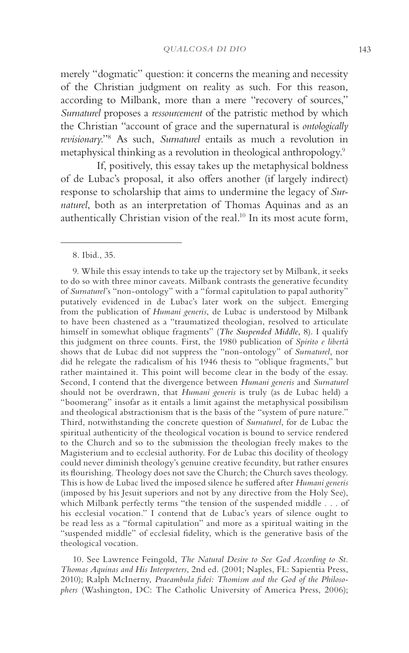merely "dogmatic" question: it concerns the meaning and necessity of the Christian judgment on reality as such. For this reason, according to Milbank, more than a mere "recovery of sources," *Surnaturel* proposes a *ressourcement* of the patristic method by which the Christian "account of grace and the supernatural is *ontologically revisionary*."8 As such, *Surnaturel* entails as much a revolution in metaphysical thinking as a revolution in theological anthropology.9

If, positively, this essay takes up the metaphysical boldness of de Lubac's proposal, it also offers another (if largely indirect) response to scholarship that aims to undermine the legacy of *Surnaturel*, both as an interpretation of Thomas Aquinas and as an authentically Christian vision of the real.10 In its most acute form,

10. See Lawrence Feingold, *The Natural Desire to See God According to St. Thomas Aquinas and His Interpreters*, 2nd ed. (2001; Naples, FL: Sapientia Press, 2010); Ralph McInerny, *Praeambula fidei: Thomism and the God of the Philosophers* (Washington, DC: The Catholic University of America Press, 2006);

<sup>8.</sup> Ibid., 35.

<sup>9.</sup> While this essay intends to take up the trajectory set by Milbank, it seeks to do so with three minor caveats. Milbank contrasts the generative fecundity of *Surnaturel*'s "non-ontology" with a "formal capitulation to papal authority" putatively evidenced in de Lubac's later work on the subject. Emerging from the publication of *Humani generis*, de Lubac is understood by Milbank to have been chastened as a "traumatized theologian, resolved to articulate himself in somewhat oblique fragments" (*The Suspended Middle*, 8). I qualify this judgment on three counts. First, the 1980 publication of *Spirito e libertà* shows that de Lubac did not suppress the "non-ontology" of *Surnaturel*, nor did he relegate the radicalism of his 1946 thesis to "oblique fragments," but rather maintained it. This point will become clear in the body of the essay. Second, I contend that the divergence between *Humani generis* and *Surnaturel* should not be overdrawn, that *Humani generis* is truly (as de Lubac held) a "boomerang" insofar as it entails a limit against the metaphysical possibilism and theological abstractionism that is the basis of the "system of pure nature." Third, notwithstanding the concrete question of *Surnaturel*, for de Lubac the spiritual authenticity of the theological vocation is bound to service rendered to the Church and so to the submission the theologian freely makes to the Magisterium and to ecclesial authority. For de Lubac this docility of theology could never diminish theology's genuine creative fecundity, but rather ensures its flourishing. Theology does not save the Church; the Church saves theology. This is how de Lubac lived the imposed silence he suffered after *Humani generis* (imposed by his Jesuit superiors and not by any directive from the Holy See), which Milbank perfectly terms "the tension of the suspended middle . . . of his ecclesial vocation." I contend that de Lubac's years of silence ought to be read less as a "formal capitulation" and more as a spiritual waiting in the "suspended middle" of ecclesial fidelity, which is the generative basis of the theological vocation.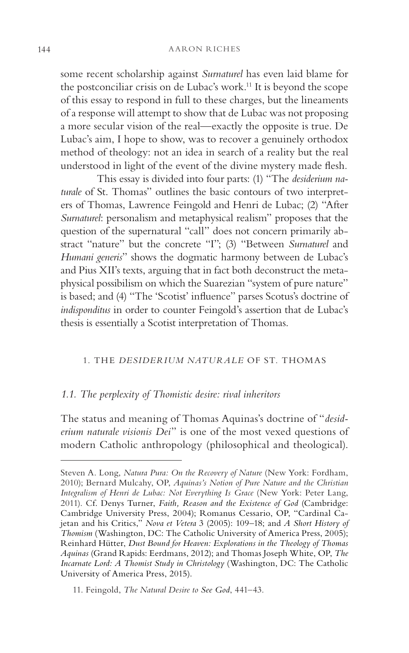some recent scholarship against *Surnaturel* has even laid blame for the postconciliar crisis on de Lubac's work.<sup>11</sup> It is beyond the scope of this essay to respond in full to these charges, but the lineaments of a response will attempt to show that de Lubac was not proposing a more secular vision of the real—exactly the opposite is true. De Lubac's aim, I hope to show, was to recover a genuinely orthodox method of theology: not an idea in search of a reality but the real understood in light of the event of the divine mystery made flesh*.*

This essay is divided into four parts: (1) "The *desiderium naturale* of St. Thomas" outlines the basic contours of two interpreters of Thomas, Lawrence Feingold and Henri de Lubac; (2) "After *Surnaturel*: personalism and metaphysical realism" proposes that the question of the supernatural "call" does not concern primarily abstract "nature" but the concrete "I"; (3) "Between *Surnaturel* and *Humani generis*" shows the dogmatic harmony between de Lubac's and Pius XII's texts, arguing that in fact both deconstruct the metaphysical possibilism on which the Suarezian "system of pure nature" is based; and (4) "The 'Scotist' influence" parses Scotus's doctrine of *indisponditus* in order to counter Feingold's assertion that de Lubac's thesis is essentially a Scotist interpretation of Thomas.

# 1. THE *DESIDERIUM NATURALE* OF ST. THOMAS

#### *1.1. The perplexity of Thomistic desire: rival inheritors*

The status and meaning of Thomas Aquinas's doctrine of "*desiderium naturale visionis Dei*" is one of the most vexed questions of modern Catholic anthropology (philosophical and theological).

Steven A. Long, *Natura Pura: On the Recovery of Nature* (New York: Fordham, 2010); Bernard Mulcahy, OP, *Aquinas's Notion of Pure Nature and the Christian Integralism of Henri de Lubac: Not Everything Is Grace* (New York: Peter Lang, 2011). Cf. Denys Turner, *Faith, Reason and the Existence of God* (Cambridge: Cambridge University Press, 2004); Romanus Cessario, OP, "Cardinal Cajetan and his Critics," *Nova et Vetera* 3 (2005): 109–18; and *A Short History of Thomism* (Washington, DC: The Catholic University of America Press, 2005); Reinhard Hütter, *Dust Bound for Heaven: Explorations in the Theology of Thomas Aquinas* (Grand Rapids: Eerdmans, 2012); and Thomas Joseph White, OP, *The Incarnate Lord: A Thomist Study in Christology* (Washington, DC: The Catholic University of America Press, 2015).

<sup>11.</sup> Feingold, *The Natural Desire to See God*, 441–43.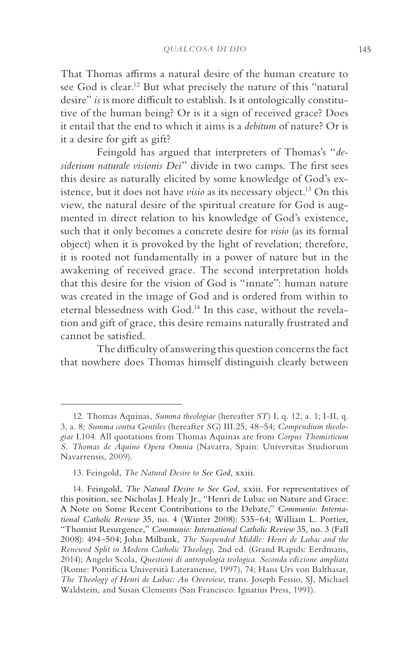That Thomas affirms a natural desire of the human creature to see God is clear.<sup>12</sup> But what precisely the nature of this "natural desire" *is* is more difficult to establish. Is it ontologically constitutive of the human being? Or is it a sign of received grace? Does it entail that the end to which it aims is a *debitum* of nature? Or is it a desire for gift as gift?

Feingold has argued that interpreters of Thomas's "*desiderium naturale visionis Dei*" divide in two camps. The first sees this desire as naturally elicited by some knowledge of God's existence, but it does not have *visio* as its necessary object.13 On this view, the natural desire of the spiritual creature for God is augmented in direct relation to his knowledge of God's existence, such that it only becomes a concrete desire for *visio* (as its formal object) when it is provoked by the light of revelation; therefore, it is rooted not fundamentally in a power of nature but in the awakening of received grace. The second interpretation holds that this desire for the vision of God is "innate": human nature was created in the image of God and is ordered from within to eternal blessedness with God.14 In this case, without the revelation and gift of grace, this desire remains naturally frustrated and cannot be satisfied.

The difficulty of answering this question concerns the fact that nowhere does Thomas himself distinguish clearly between

<sup>12.</sup> Thomas Aquinas, *Summa theologiae* (hereafter *ST*) I, q. 12, a. 1; I-II, q. 3, a. 8; *Summa contra Gentiles* (hereafter *SG*) III.25, 48–54; *Compendium theologiae* I.104. All quotations from Thomas Aquinas are from *Corpus Thomisticum S. Thomas de Aquino Opera Omnia* (Navarra, Spain: Universitas Studiorum Navarrensis, 2009).

<sup>13.</sup> Feingold, *The Natural Desire to See God*, xxiii.

<sup>14.</sup> Feingold, *The Natural Desire to See God*, xxiii. For representatives of this position, see Nicholas J. Healy Jr., "Henri de Lubac on Nature and Grace: A Note on Some Recent Contributions to the Debate," *Communio: International Catholic Review* 35, no. 4 (Winter 2008): 535–64; William L. Portier, "Thomist Resurgence," *Communio: International Catholic Review* 35, no. 3 (Fall 2008): 494–504; John Milbank, *The Suspended Middle: Henri de Lubac and the Renewed Split in Modern Catholic Theology*, 2nd ed. (Grand Rapids: Eerdmans, 2014); Angelo Scola, *Questioni di antropologia teologica. Seconda edizione ampliata*  (Rome: Pontificia Università Lateranense, 1997), 74; Hans Urs von Balthasar, *The Theology of Henri de Lubac: An Overview*, trans. Joseph Fessio, SJ, Michael Waldstein, and Susan Clements (San Francisco: Ignatius Press, 1991).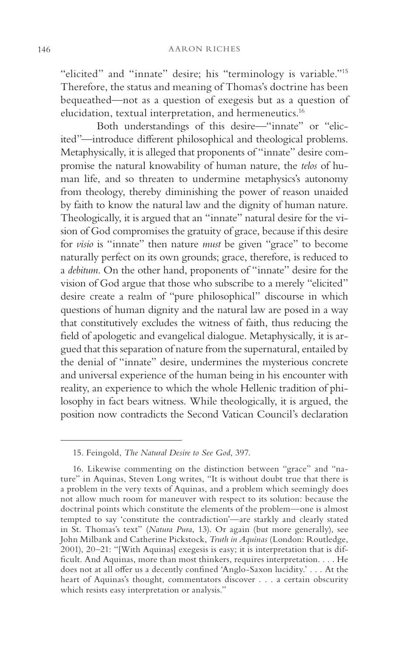"elicited" and "innate" desire; his "terminology is variable."15 Therefore, the status and meaning of Thomas's doctrine has been bequeathed—not as a question of exegesis but as a question of elucidation, textual interpretation, and hermeneutics.16

Both understandings of this desire—"innate" or "elicited"—introduce different philosophical and theological problems. Metaphysically, it is alleged that proponents of "innate" desire compromise the natural knowability of human nature, the *telos* of human life, and so threaten to undermine metaphysics's autonomy from theology, thereby diminishing the power of reason unaided by faith to know the natural law and the dignity of human nature. Theologically, it is argued that an "innate" natural desire for the vision of God compromises the gratuity of grace, because if this desire for *visio* is "innate" then nature *must* be given "grace" to become naturally perfect on its own grounds; grace, therefore, is reduced to a *debitum*. On the other hand, proponents of "innate" desire for the vision of God argue that those who subscribe to a merely "elicited" desire create a realm of "pure philosophical" discourse in which questions of human dignity and the natural law are posed in a way that constitutively excludes the witness of faith, thus reducing the field of apologetic and evangelical dialogue. Metaphysically, it is argued that this separation of nature from the supernatural, entailed by the denial of "innate" desire, undermines the mysterious concrete and universal experience of the human being in his encounter with reality, an experience to which the whole Hellenic tradition of philosophy in fact bears witness. While theologically, it is argued, the position now contradicts the Second Vatican Council's declaration

<sup>15.</sup> Feingold, *The Natural Desire to See God*, 397.

<sup>16.</sup> Likewise commenting on the distinction between "grace" and "nature" in Aquinas, Steven Long writes, "It is without doubt true that there is a problem in the very texts of Aquinas, and a problem which seemingly does not allow much room for maneuver with respect to its solution: because the doctrinal points which constitute the elements of the problem—one is almost tempted to say 'constitute the contradiction'—are starkly and clearly stated in St. Thomas's text" (*Natura Pura*, 13). Or again (but more generally), see John Milbank and Catherine Pickstock, *Truth in Aquinas* (London: Routledge, 2001), 20–21: "[With Aquinas] exegesis is easy; it is interpretation that is difficult. And Aquinas, more than most thinkers, requires interpretation. . . . He does not at all offer us a decently confined 'Anglo-Saxon lucidity.' . . . At the heart of Aquinas's thought, commentators discover . . . a certain obscurity which resists easy interpretation or analysis."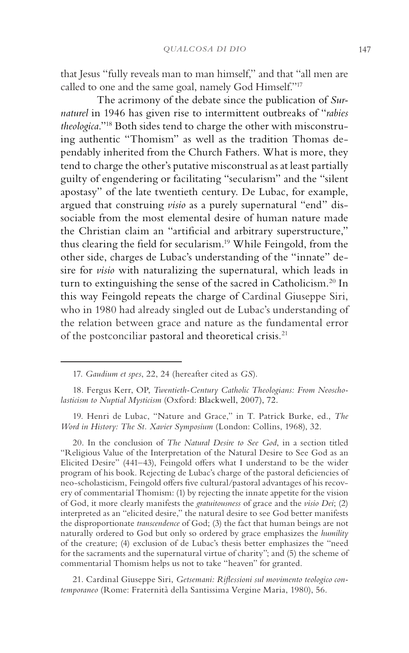that Jesus "fully reveals man to man himself," and that "all men are called to one and the same goal, namely God Himself."<sup>17</sup>

The acrimony of the debate since the publication of *Surnaturel* in 1946 has given rise to intermittent outbreaks of "*rabies theologica*."18 Both sides tend to charge the other with misconstruing authentic "Thomism" as well as the tradition Thomas dependably inherited from the Church Fathers. What is more, they tend to charge the other's putative misconstrual as at least partially guilty of engendering or facilitating "secularism" and the "silent apostasy" of the late twentieth century. De Lubac, for example, argued that construing *visio* as a purely supernatural "end" dissociable from the most elemental desire of human nature made the Christian claim an "artificial and arbitrary superstructure," thus clearing the field for secularism.19 While Feingold, from the other side, charges de Lubac's understanding of the "innate" desire for *visio* with naturalizing the supernatural, which leads in turn to extinguishing the sense of the sacred in Catholicism.<sup>20</sup> In this way Feingold repeats the charge of Cardinal Giuseppe Siri, who in 1980 had already singled out de Lubac's understanding of the relation between grace and nature as the fundamental error of the postconciliar pastoral and theoretical crisis. 21

19. Henri de Lubac, "Nature and Grace," in T. Patrick Burke, ed., *The Word in History: The St. Xavier Symposium* (London: Collins, 1968), 32.

20. In the conclusion of *The Natural Desire to See God*, in a section titled "Religious Value of the Interpretation of the Natural Desire to See God as an Elicited Desire" (441–43), Feingold offers what I understand to be the wider program of his book. Rejecting de Lubac's charge of the pastoral deficiencies of neo-scholasticism, Feingold offers five cultural/pastoral advantages of his recovery of commentarial Thomism: (1) by rejecting the innate appetite for the vision of God, it more clearly manifests the *gratuitousness* of grace and the *visio Dei*; (2) interpreted as an "elicited desire," the natural desire to see God better manifests the disproportionate *transcendence* of God; (3) the fact that human beings are not naturally ordered to God but only so ordered by grace emphasizes the *humility* of the creature; (4) exclusion of de Lubac's thesis better emphasizes the "need for the sacraments and the supernatural virtue of charity"; and (5) the scheme of commentarial Thomism helps us not to take "heaven" for granted.

21. Cardinal Giuseppe Siri, *Getsemani: Riflessioni sul movimento teologico contemporaneo* (Rome: Fraternità della Santissima Vergine Maria, 1980), 56.

<sup>17.</sup> *Gaudium et spes*, 22, 24 (hereafter cited as *GS*).

<sup>18.</sup> Fergus Kerr, OP, *Twentieth-Century Catholic Theologians: From Neoscholasticism to Nuptial Mysticism* (Oxford: Blackwell, 2007), 72.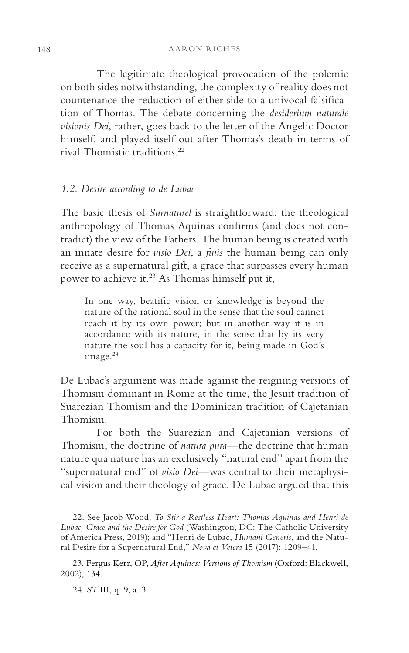The legitimate theological provocation of the polemic on both sides notwithstanding, the complexity of reality does not countenance the reduction of either side to a univocal falsification of Thomas. The debate concerning the *desiderium naturale visionis Dei*, rather, goes back to the letter of the Angelic Doctor himself, and played itself out after Thomas's death in terms of rival Thomistic traditions.22

# *1.2. Desire according to de Lubac*

The basic thesis of *Surnaturel* is straightforward: the theological anthropology of Thomas Aquinas confirms (and does not contradict) the view of the Fathers. The human being is created with an innate desire for *visio Dei*, a *finis* the human being can only receive as a supernatural gift, a grace that surpasses every human power to achieve it.<sup>23</sup> As Thomas himself put it,

In one way, beatific vision or knowledge is beyond the nature of the rational soul in the sense that the soul cannot reach it by its own power; but in another way it is in accordance with its nature, in the sense that by its very nature the soul has a capacity for it, being made in God's image.<sup>24</sup>

De Lubac's argument was made against the reigning versions of Thomism dominant in Rome at the time, the Jesuit tradition of Suarezian Thomism and the Dominican tradition of Cajetanian Thomism.

For both the Suarezian and Cajetanian versions of Thomism, the doctrine of *natura pura*—the doctrine that human nature qua nature has an exclusively "natural end" apart from the "supernatural end" of *visio Dei*—was central to their metaphysical vision and their theology of grace. De Lubac argued that this

<sup>22.</sup> See Jacob Wood, *To Stir a Restless Heart: Thomas Aquinas and Henri de Lubac, Grace and the Desire for God* (Washington, DC: The Catholic University of America Press, 2019); and "Henri de Lubac, *Humani Generis*, and the Natural Desire for a Supernatural End," *Nova et Vetera* 15 (2017): 1209–41.

<sup>23.</sup> Fergus Kerr, OP, *After Aquinas: Versions of Thomism* (Oxford: Blackwell, 2002), 134.

<sup>24.</sup> *ST* III, q. 9, a. 3.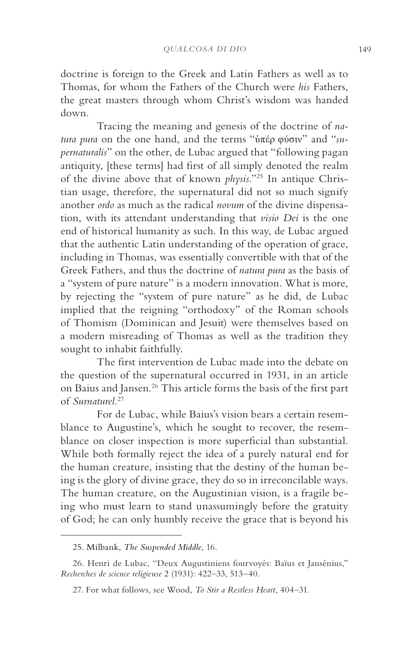doctrine is foreign to the Greek and Latin Fathers as well as to Thomas, for whom the Fathers of the Church were *his* Fathers, the great masters through whom Christ's wisdom was handed down.

Tracing the meaning and genesis of the doctrine of *natura pura* on the one hand, and the terms "ὑπέρ φύσιν" and "*supernaturalis*" on the other, de Lubac argued that "following pagan antiquity, [these terms] had first of all simply denoted the realm of the divine above that of known *physis*."25 In antique Christian usage, therefore, the supernatural did not so much signify another *ordo* as much as the radical *novum* of the divine dispensation, with its attendant understanding that *visio Dei* is the one end of historical humanity as such. In this way, de Lubac argued that the authentic Latin understanding of the operation of grace, including in Thomas, was essentially convertible with that of the Greek Fathers, and thus the doctrine of *natura pura* as the basis of a "system of pure nature" is a modern innovation. What is more, by rejecting the "system of pure nature" as he did, de Lubac implied that the reigning "orthodoxy" of the Roman schools of Thomism (Dominican and Jesuit) were themselves based on a modern misreading of Thomas as well as the tradition they sought to inhabit faithfully.

The first intervention de Lubac made into the debate on the question of the supernatural occurred in 1931, in an article on Baius and Jansen.26 This article forms the basis of the first part of *Surnaturel*. 27

For de Lubac, while Baius's vision bears a certain resemblance to Augustine's, which he sought to recover, the resemblance on closer inspection is more superficial than substantial. While both formally reject the idea of a purely natural end for the human creature, insisting that the destiny of the human being is the glory of divine grace, they do so in irreconcilable ways. The human creature, on the Augustinian vision, is a fragile being who must learn to stand unassumingly before the gratuity of God; he can only humbly receive the grace that is beyond his

<sup>25.</sup> Milbank, *The Suspended Middle*, 16.

<sup>26.</sup> Henri de Lubac, "Deux Augustiniens fourvoyés: Baïus et Jansénius," *Recherches de science religieuse* 2 (1931): 422–33, 513–40.

<sup>27.</sup> For what follows, see Wood, *To Stir a Restless Heart*, 404–31.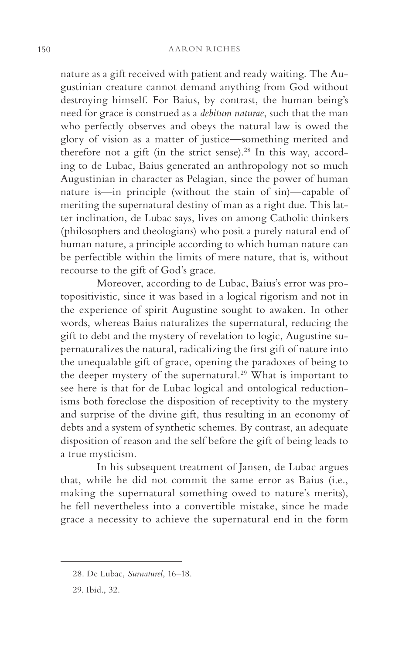nature as a gift received with patient and ready waiting. The Augustinian creature cannot demand anything from God without destroying himself. For Baius, by contrast, the human being's need for grace is construed as a *debitum naturae*, such that the man who perfectly observes and obeys the natural law is owed the glory of vision as a matter of justice—something merited and therefore not a gift (in the strict sense).<sup>28</sup> In this way, according to de Lubac, Baius generated an anthropology not so much Augustinian in character as Pelagian, since the power of human nature is—in principle (without the stain of sin)—capable of meriting the supernatural destiny of man as a right due. This latter inclination, de Lubac says, lives on among Catholic thinkers (philosophers and theologians) who posit a purely natural end of human nature, a principle according to which human nature can be perfectible within the limits of mere nature, that is, without recourse to the gift of God's grace.

Moreover, according to de Lubac, Baius's error was protopositivistic, since it was based in a logical rigorism and not in the experience of spirit Augustine sought to awaken. In other words, whereas Baius naturalizes the supernatural, reducing the gift to debt and the mystery of revelation to logic, Augustine supernaturalizes the natural, radicalizing the first gift of nature into the unequalable gift of grace, opening the paradoxes of being to the deeper mystery of the supernatural.<sup>29</sup> What is important to see here is that for de Lubac logical and ontological reductionisms both foreclose the disposition of receptivity to the mystery and surprise of the divine gift, thus resulting in an economy of debts and a system of synthetic schemes. By contrast, an adequate disposition of reason and the self before the gift of being leads to a true mysticism.

In his subsequent treatment of Jansen, de Lubac argues that, while he did not commit the same error as Baius (i.e., making the supernatural something owed to nature's merits), he fell nevertheless into a convertible mistake, since he made grace a necessity to achieve the supernatural end in the form

<sup>28.</sup> De Lubac, *Surnaturel*, 16–18.

<sup>29.</sup> Ibid., 32.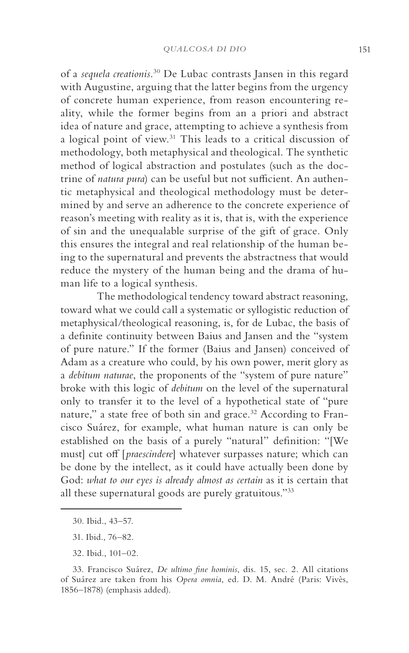of a *sequela creationis*. 30 De Lubac contrasts Jansen in this regard with Augustine, arguing that the latter begins from the urgency of concrete human experience, from reason encountering reality, while the former begins from an a priori and abstract idea of nature and grace, attempting to achieve a synthesis from a logical point of view.31 This leads to a critical discussion of methodology, both metaphysical and theological. The synthetic method of logical abstraction and postulates (such as the doctrine of *natura pura*) can be useful but not sufficient. An authentic metaphysical and theological methodology must be determined by and serve an adherence to the concrete experience of reason's meeting with reality as it is, that is, with the experience of sin and the unequalable surprise of the gift of grace. Only this ensures the integral and real relationship of the human being to the supernatural and prevents the abstractness that would reduce the mystery of the human being and the drama of human life to a logical synthesis.

The methodological tendency toward abstract reasoning, toward what we could call a systematic or syllogistic reduction of metaphysical/theological reasoning, is, for de Lubac, the basis of a definite continuity between Baius and Jansen and the "system of pure nature." If the former (Baius and Jansen) conceived of Adam as a creature who could, by his own power, merit glory as a *debitum naturae*, the proponents of the "system of pure nature" broke with this logic of *debitum* on the level of the supernatural only to transfer it to the level of a hypothetical state of "pure nature," a state free of both sin and grace.<sup>32</sup> According to Francisco Suárez, for example, what human nature is can only be established on the basis of a purely "natural" definition: "[We must] cut off [*praescindere*] whatever surpasses nature; which can be done by the intellect, as it could have actually been done by God: *what to our eyes is already almost as certain* as it is certain that all these supernatural goods are purely gratuitous."33

<sup>30.</sup> Ibid., 43–57.

<sup>31.</sup> Ibid., 76–82.

<sup>32.</sup> Ibid., 101–02.

<sup>33.</sup> Francisco Suárez, *De ultimo fine hominis*, dis. 15, sec. 2. All citations of Suárez are taken from his *Opera omnia*, ed. D. M. André (Paris: Vivès, 1856–1878) (emphasis added).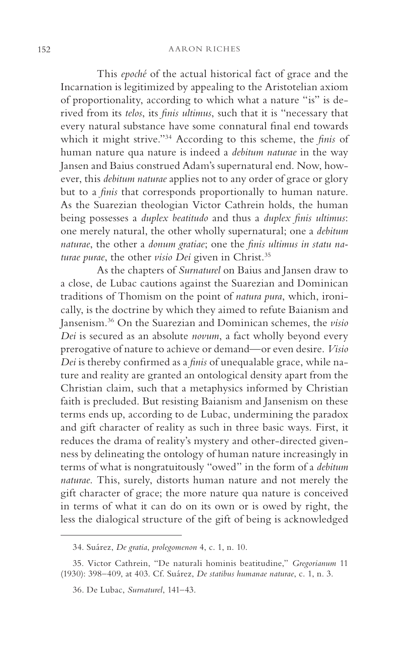This *epoché* of the actual historical fact of grace and the Incarnation is legitimized by appealing to the Aristotelian axiom of proportionality, according to which what a nature "is" is derived from its *telos*, its *finis ultimus*, such that it is "necessary that every natural substance have some connatural final end towards which it might strive."34 According to this scheme, the *finis* of human nature qua nature is indeed a *debitum naturae* in the way Jansen and Baius construed Adam's supernatural end. Now, however, this *debitum naturae* applies not to any order of grace or glory but to a *finis* that corresponds proportionally to human nature. As the Suarezian theologian Victor Cathrein holds, the human being possesses a *duplex beatitudo* and thus a *duplex finis ultimus*: one merely natural, the other wholly supernatural; one a *debitum naturae*, the other a *donum gratiae*; one the *finis ultimus in statu naturae purae*, the other *visio Dei* given in Christ.35

As the chapters of *Surnaturel* on Baius and Jansen draw to a close, de Lubac cautions against the Suarezian and Dominican traditions of Thomism on the point of *natura pura*, which, ironically, is the doctrine by which they aimed to refute Baianism and Jansenism.36 On the Suarezian and Dominican schemes, the *visio Dei* is secured as an absolute *novum*, a fact wholly beyond every prerogative of nature to achieve or demand—or even desire. *Visio Dei* is thereby confirmed as a *finis* of unequalable grace, while nature and reality are granted an ontological density apart from the Christian claim, such that a metaphysics informed by Christian faith is precluded. But resisting Baianism and Jansenism on these terms ends up, according to de Lubac, undermining the paradox and gift character of reality as such in three basic ways. First, it reduces the drama of reality's mystery and other-directed givenness by delineating the ontology of human nature increasingly in terms of what is nongratuitously "owed" in the form of a *debitum naturae*. This, surely, distorts human nature and not merely the gift character of grace; the more nature qua nature is conceived in terms of what it can do on its own or is owed by right, the less the dialogical structure of the gift of being is acknowledged

<sup>34.</sup> Suárez, *De gratia*, *prolegomenon* 4, c. 1, n. 10.

<sup>35.</sup> Victor Cathrein, "De naturali hominis beatitudine," *Gregorianum* 11 (1930): 398–409, at 403. Cf. Suárez, *De statibus humanae naturae*, c. 1, n. 3.

<sup>36.</sup> De Lubac, *Surnaturel*, 141–43.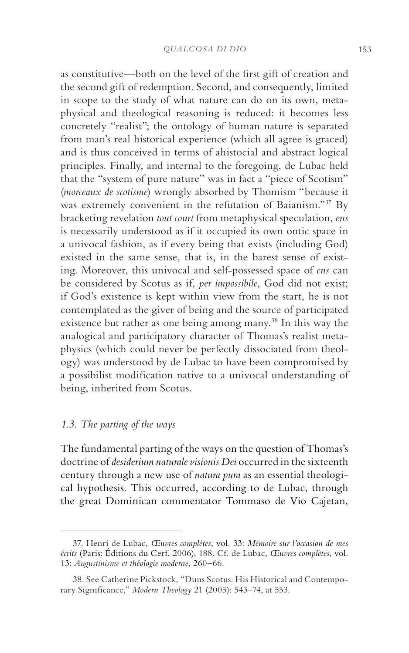as constitutive—both on the level of the first gift of creation and the second gift of redemption. Second, and consequently, limited in scope to the study of what nature can do on its own, metaphysical and theological reasoning is reduced: it becomes less concretely "realist"; the ontology of human nature is separated from man's real historical experience (which all agree is graced) and is thus conceived in terms of ahistocial and abstract logical principles. Finally, and internal to the foregoing, de Lubac held that the "system of pure nature" was in fact a "piece of Scotism" (*morceaux de scotisme*) wrongly absorbed by Thomism "because it was extremely convenient in the refutation of Baianism."37 By bracketing revelation *tout court* from metaphysical speculation, *ens* is necessarily understood as if it occupied its own ontic space in a univocal fashion, as if every being that exists (including God) existed in the same sense, that is, in the barest sense of existing. Moreover, this univocal and self-possessed space of *ens* can be considered by Scotus as if, *per impossibile*, God did not exist; if God's existence is kept within view from the start, he is not contemplated as the giver of being and the source of participated existence but rather as one being among many.38 In this way the analogical and participatory character of Thomas's realist metaphysics (which could never be perfectly dissociated from theology) was understood by de Lubac to have been compromised by a possibilist modification native to a univocal understanding of being, inherited from Scotus.

# *1.3. The parting of the ways*

The fundamental parting of the ways on the question of Thomas's doctrine of *desiderium naturale visionis Dei* occurred in the sixteenth century through a new use of *natura pura* as an essential theological hypothesis. This occurred, according to de Lubac, through the great Dominican commentator Tommaso de Vio Cajetan,

<sup>37.</sup> Henri de Lubac, *Œuvres complètes*, vol. 33: *Mémoire sur l'occasion de mes écrits* (Paris: Éditions du Cerf, 2006), 188. Cf. de Lubac, *Œuvres complètes*, vol. 13: *Augustinisme et théologie moderne*, 260–66.

<sup>38.</sup> See Catherine Pickstock, "Duns Scotus: His Historical and Contemporary Significance," *Modern Theology* 21 (2005): 543–74, at 553.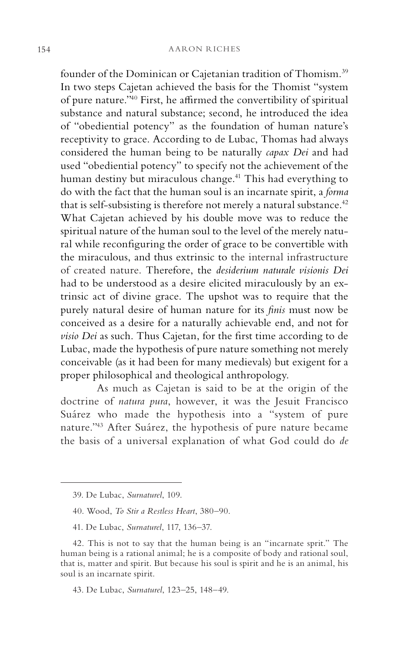founder of the Dominican or Cajetanian tradition of Thomism.39 In two steps Cajetan achieved the basis for the Thomist "system of pure nature."40 First, he affirmed the convertibility of spiritual substance and natural substance; second, he introduced the idea of "obediential potency" as the foundation of human nature's receptivity to grace. According to de Lubac, Thomas had always considered the human being to be naturally *capax Dei* and had used "obediential potency" to specify not the achievement of the human destiny but miraculous change.<sup>41</sup> This had everything to do with the fact that the human soul is an incarnate spirit, a *forma* that is self-subsisting is therefore not merely a natural substance. $42$ What Cajetan achieved by his double move was to reduce the spiritual nature of the human soul to the level of the merely natural while reconfiguring the order of grace to be convertible with the miraculous, and thus extrinsic to the internal infrastructure of created nature. Therefore, the *desiderium naturale visionis Dei* had to be understood as a desire elicited miraculously by an extrinsic act of divine grace. The upshot was to require that the purely natural desire of human nature for its *finis* must now be conceived as a desire for a naturally achievable end, and not for *visio Dei* as such. Thus Cajetan, for the first time according to de Lubac, made the hypothesis of pure nature something not merely conceivable (as it had been for many medievals) but exigent for a proper philosophical and theological anthropology.

As much as Cajetan is said to be at the origin of the doctrine of *natura pura*, however, it was the Jesuit Francisco Suárez who made the hypothesis into a "system of pure nature."43 After Suárez, the hypothesis of pure nature became the basis of a universal explanation of what God could do *de* 

<sup>39.</sup> De Lubac, *Surnaturel*, 109.

<sup>40.</sup> Wood, *To Stir a Restless Heart*, 380–90.

<sup>41.</sup> De Lubac, *Surnaturel*, 117, 136–37.

<sup>42.</sup> This is not to say that the human being is an "incarnate sprit." The human being is a rational animal; he is a composite of body and rational soul, that is, matter and spirit. But because his soul is spirit and he is an animal, his soul is an incarnate spirit.

<sup>43.</sup> De Lubac, *Surnaturel*, 123–25, 148–49.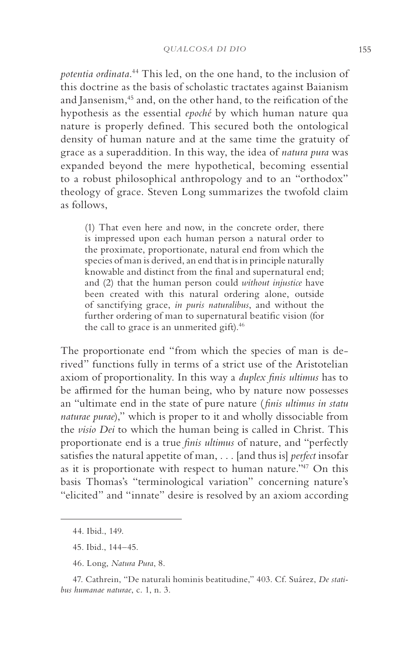*potentia ordinata*. 44 This led, on the one hand, to the inclusion of this doctrine as the basis of scholastic tractates against Baianism and Jansenism,<sup>45</sup> and, on the other hand, to the reification of the hypothesis as the essential *epoché* by which human nature qua nature is properly defined. This secured both the ontological density of human nature and at the same time the gratuity of grace as a superaddition. In this way, the idea of *natura pura* was expanded beyond the mere hypothetical, becoming essential to a robust philosophical anthropology and to an "orthodox" theology of grace. Steven Long summarizes the twofold claim as follows,

(1) That even here and now, in the concrete order, there is impressed upon each human person a natural order to the proximate, proportionate, natural end from which the species of man is derived, an end that is in principle naturally knowable and distinct from the final and supernatural end; and (2) that the human person could *without injustice* have been created with this natural ordering alone, outside of sanctifying grace, *in puris naturalibus*, and without the further ordering of man to supernatural beatific vision (for the call to grace is an unmerited gift).<sup>46</sup>

The proportionate end "from which the species of man is derived" functions fully in terms of a strict use of the Aristotelian axiom of proportionality. In this way a *duplex finis ultimus* has to be affirmed for the human being, who by nature now possesses an "ultimate end in the state of pure nature ( *finis ultimus in statu naturae purae*)," which is proper to it and wholly dissociable from the *visio Dei* to which the human being is called in Christ. This proportionate end is a true *finis ultimus* of nature, and "perfectly satisfies the natural appetite of man, . . . [and thus is] *perfect* insofar as it is proportionate with respect to human nature."47 On this basis Thomas's "terminological variation" concerning nature's "elicited" and "innate" desire is resolved by an axiom according

<sup>44.</sup> Ibid., 149.

<sup>45.</sup> Ibid., 144–45.

<sup>46.</sup> Long, *Natura Pura*, 8.

<sup>47.</sup> Cathrein, "De naturali hominis beatitudine," 403. Cf. Suárez, *De statibus humanae naturae*, c. 1, n. 3.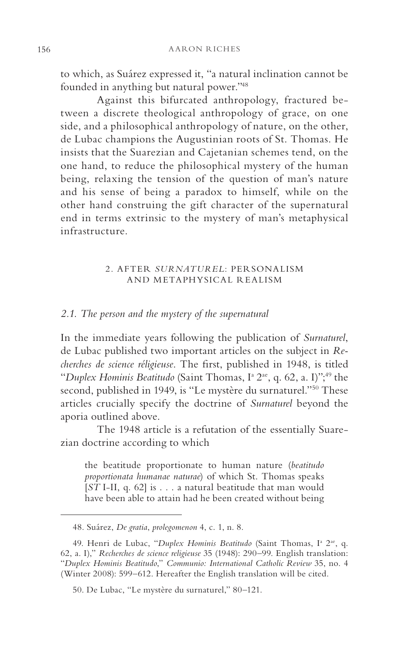to which, as Suárez expressed it, "a natural inclination cannot be founded in anything but natural power."48

Against this bifurcated anthropology, fractured between a discrete theological anthropology of grace, on one side, and a philosophical anthropology of nature, on the other, de Lubac champions the Augustinian roots of St. Thomas. He insists that the Suarezian and Cajetanian schemes tend, on the one hand, to reduce the philosophical mystery of the human being, relaxing the tension of the question of man's nature and his sense of being a paradox to himself, while on the other hand construing the gift character of the supernatural end in terms extrinsic to the mystery of man's metaphysical infrastructure.

#### 2. AFTER *SURNATUREL*: PERSONALISM AND METAPHYSICAL REALISM

# *2.1. The person and the mystery of the supernatural*

In the immediate years following the publication of *Surnaturel*, de Lubac published two important articles on the subject in *Recherches de science réligieuse*. The first, published in 1948, is titled "Duplex Hominis Beatitudo (Saint Thomas, I<sup>a</sup> 2<sup>ae</sup>, q. 62, a. I)"<sup>49</sup> the second, published in 1949, is "Le mystère du surnaturel."<sup>50</sup> These articles crucially specify the doctrine of *Surnaturel* beyond the aporia outlined above.

The 1948 article is a refutation of the essentially Suarezian doctrine according to which

the beatitude proportionate to human nature (*beatitudo proportionata humanae naturae*) of which St. Thomas speaks [*ST* I-II, q. 62] is . . . a natural beatitude that man would have been able to attain had he been created without being

<sup>48.</sup> Suárez, *De gratia*, *prolegomenon* 4, c. 1, n. 8.

<sup>49.</sup> Henri de Lubac, "Duplex Hominis Beatitudo (Saint Thomas, I<sup>a</sup> 2<sup>ae</sup>, q. 62, a. I)," *Recherches de science religieuse* 35 (1948): 290–99. English translation: "*Duplex Hominis Beatitudo*," *Communio: International Catholic Review* 35, no. 4 (Winter 2008): 599–612. Hereafter the English translation will be cited.

<sup>50.</sup> De Lubac, "Le mystère du surnaturel," 80–121.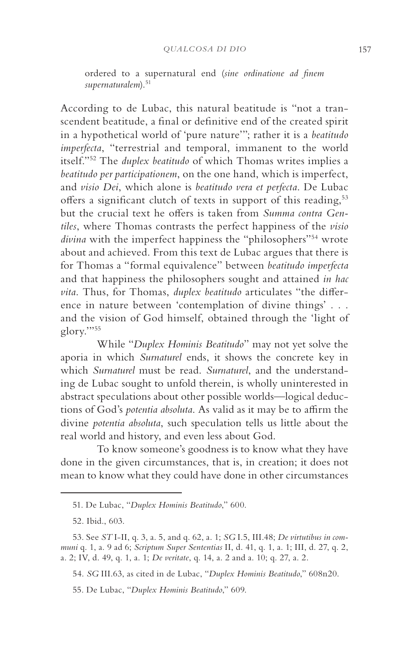ordered to a supernatural end (*sine ordinatione ad finem supernaturalem*).51

According to de Lubac, this natural beatitude is "not a transcendent beatitude, a final or definitive end of the created spirit in a hypothetical world of 'pure nature'"; rather it is a *beatitudo imperfecta*, "terrestrial and temporal, immanent to the world itself."52 The *duplex beatitudo* of which Thomas writes implies a *beatitudo per participationem*, on the one hand, which is imperfect, and *visio Dei*, which alone is *beatitudo vera et perfecta*. De Lubac offers a significant clutch of texts in support of this reading,<sup>53</sup> but the crucial text he offers is taken from *Summa contra Gentiles*, where Thomas contrasts the perfect happiness of the *visio divina* with the imperfect happiness the "philosophers"<sup>54</sup> wrote about and achieved. From this text de Lubac argues that there is for Thomas a "formal equivalence" between *beatitudo imperfecta* and that happiness the philosophers sought and attained *in hac vita*. Thus, for Thomas, *duplex beatitudo* articulates "the difference in nature between 'contemplation of divine things' . . . and the vision of God himself, obtained through the 'light of glory.'"55

While "*Duplex Hominis Beatitudo*" may not yet solve the aporia in which *Surnaturel* ends, it shows the concrete key in which *Surnaturel* must be read. *Surnaturel*, and the understanding de Lubac sought to unfold therein, is wholly uninterested in abstract speculations about other possible worlds—logical deductions of God's *potentia absoluta*. As valid as it may be to affirm the divine *potentia absoluta*, such speculation tells us little about the real world and history, and even less about God.

To know someone's goodness is to know what they have done in the given circumstances, that is, in creation; it does not mean to know what they could have done in other circumstances

<sup>51.</sup> De Lubac, "*Duplex Hominis Beatitudo*," 600.

<sup>52.</sup> Ibid., 603.

<sup>53.</sup> See *ST* I-II, q. 3, a. 5, and q. 62, a. 1; *SG* I.5, III.48; *De virtutibus in communi* q. 1, a. 9 ad 6; *Scriptum Super Sententias* II, d. 41, q. 1, a. 1; III, d. 27, q. 2, a. 2; IV, d. 49, q. 1, a. 1; *De veritate*, q. 14, a. 2 and a. 10; q. 27, a. 2.

<sup>54.</sup> *SG* III.63, as cited in de Lubac, "*Duplex Hominis Beatitudo*," 608n20.

<sup>55.</sup> De Lubac, "*Duplex Hominis Beatitudo*," 609.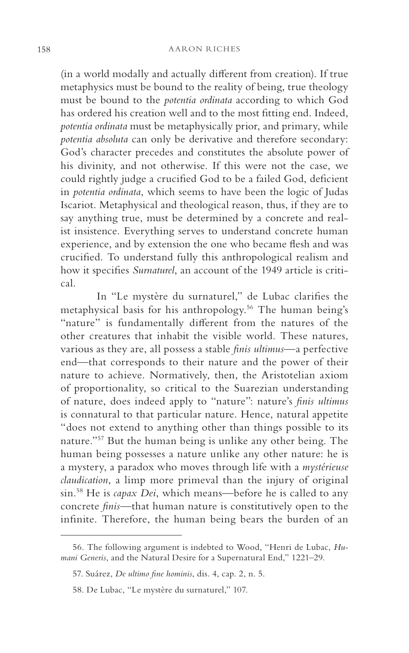(in a world modally and actually different from creation). If true metaphysics must be bound to the reality of being, true theology must be bound to the *potentia ordinata* according to which God has ordered his creation well and to the most fitting end. Indeed, *potentia ordinata* must be metaphysically prior, and primary, while *potentia absoluta* can only be derivative and therefore secondary: God's character precedes and constitutes the absolute power of his divinity, and not otherwise. If this were not the case, we could rightly judge a crucified God to be a failed God, deficient in *potentia ordinata*, which seems to have been the logic of Judas Iscariot. Metaphysical and theological reason, thus, if they are to say anything true, must be determined by a concrete and realist insistence. Everything serves to understand concrete human experience, and by extension the one who became flesh and was crucified. To understand fully this anthropological realism and how it specifies *Surnaturel*, an account of the 1949 article is critical.

In "Le mystère du surnaturel," de Lubac clarifies the metaphysical basis for his anthropology.56 The human being's "nature" is fundamentally different from the natures of the other creatures that inhabit the visible world. These natures, various as they are, all possess a stable *finis ultimus*—a perfective end—that corresponds to their nature and the power of their nature to achieve. Normatively, then, the Aristotelian axiom of proportionality, so critical to the Suarezian understanding of nature, does indeed apply to "nature": nature's *finis ultimus* is connatural to that particular nature. Hence, natural appetite "does not extend to anything other than things possible to its nature."57 But the human being is unlike any other being. The human being possesses a nature unlike any other nature: he is a mystery, a paradox who moves through life with a *mystérieuse claudication*, a limp more primeval than the injury of original sin.58 He is *capax Dei*, which means—before he is called to any concrete *finis*—that human nature is constitutively open to the infinite. Therefore, the human being bears the burden of an

<sup>56.</sup> The following argument is indebted to Wood, "Henri de Lubac, *Humani Generis*, and the Natural Desire for a Supernatural End," 1221–29.

<sup>57.</sup> Suárez, *De ultimo fine hominis*, dis. 4, cap. 2, n. 5.

<sup>58.</sup> De Lubac, "Le mystère du surnaturel," 107.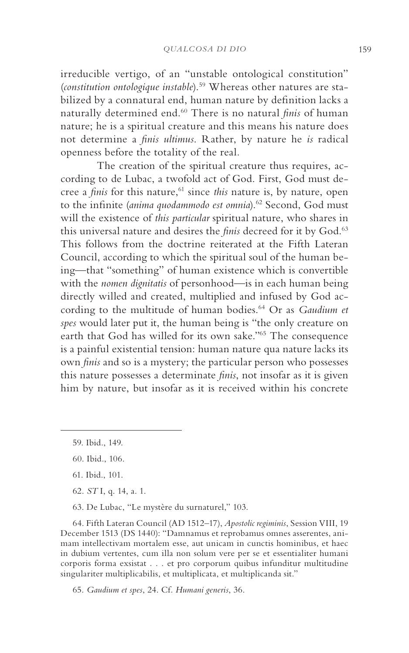irreducible vertigo, of an "unstable ontological constitution" (*constitution ontologique instable*).59 Whereas other natures are stabilized by a connatural end, human nature by definition lacks a naturally determined end.60 There is no natural *finis* of human nature; he is a spiritual creature and this means his nature does not determine a *finis ultimus*. Rather, by nature he *is* radical openness before the totality of the real*.*

The creation of the spiritual creature thus requires, according to de Lubac, a twofold act of God. First, God must decree a *finis* for this nature,<sup>61</sup> since *this* nature is, by nature, open to the infinite (anima quodammodo est omnia).<sup>62</sup> Second, God must will the existence of *this particular* spiritual nature, who shares in this universal nature and desires the *finis* decreed for it by God.<sup>63</sup> This follows from the doctrine reiterated at the Fifth Lateran Council, according to which the spiritual soul of the human being—that "something" of human existence which is convertible with the *nomen dignitatis* of personhood—is in each human being directly willed and created, multiplied and infused by God according to the multitude of human bodies.64 Or as *Gaudium et spes* would later put it, the human being is "the only creature on earth that God has willed for its own sake."65 The consequence is a painful existential tension: human nature qua nature lacks its own *finis* and so is a mystery; the particular person who possesses this nature possesses a determinate *finis*, not insofar as it is given him by nature, but insofar as it is received within his concrete

- 62. *ST* I, q. 14, a. 1.
- 63. De Lubac, "Le mystère du surnaturel," 103.

64. Fifth Lateran Council (AD 1512–17), *Apostolic regiminis*, Session VIII, 19 December 1513 (DS 1440): "Damnamus et reprobamus omnes asserentes, animam intellectivam mortalem esse, aut unicam in cunctis hominibus, et haec in dubium vertentes, cum illa non solum vere per se et essentialiter humani corporis forma exsistat . . . et pro corporum quibus infunditur multitudine singulariter multiplicabilis, et multiplicata, et multiplicanda sit."

65. *Gaudium et spes*, 24. Cf. *Humani generis*, 36.

<sup>59.</sup> Ibid., 149.

<sup>60.</sup> Ibid., 106.

<sup>61.</sup> Ibid., 101.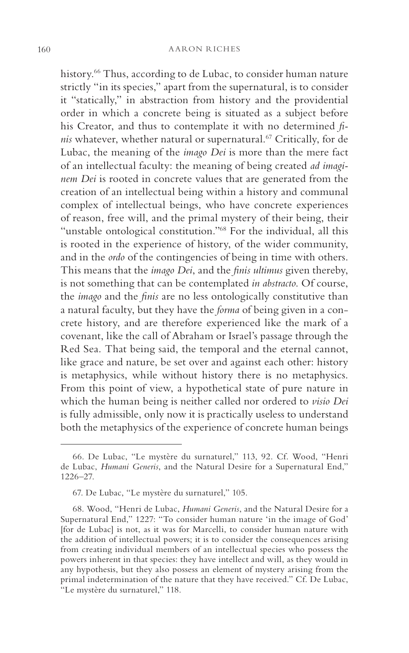history.<sup>66</sup> Thus, according to de Lubac, to consider human nature strictly "in its species," apart from the supernatural, is to consider it "statically," in abstraction from history and the providential order in which a concrete being is situated as a subject before his Creator, and thus to contemplate it with no determined *finis* whatever, whether natural or supernatural.<sup>67</sup> Critically, for de Lubac, the meaning of the *imago Dei* is more than the mere fact of an intellectual faculty: the meaning of being created *ad imaginem Dei* is rooted in concrete values that are generated from the creation of an intellectual being within a history and communal complex of intellectual beings, who have concrete experiences of reason, free will, and the primal mystery of their being, their "unstable ontological constitution."<sup>68</sup> For the individual, all this is rooted in the experience of history, of the wider community, and in the *ordo* of the contingencies of being in time with others. This means that the *imago Dei*, and the *finis ultimus* given thereby, is not something that can be contemplated *in abstracto*. Of course, the *imago* and the *finis* are no less ontologically constitutive than a natural faculty, but they have the *forma* of being given in a concrete history, and are therefore experienced like the mark of a covenant, like the call of Abraham or Israel's passage through the Red Sea. That being said, the temporal and the eternal cannot, like grace and nature, be set over and against each other: history is metaphysics, while without history there is no metaphysics. From this point of view, a hypothetical state of pure nature in which the human being is neither called nor ordered to *visio Dei* is fully admissible, only now it is practically useless to understand both the metaphysics of the experience of concrete human beings

<sup>66.</sup> De Lubac, "Le mystère du surnaturel," 113, 92. Cf. Wood, "Henri de Lubac, *Humani Generis*, and the Natural Desire for a Supernatural End," 1226–27.

<sup>67.</sup> De Lubac, "Le mystère du surnaturel," 105.

<sup>68.</sup> Wood, "Henri de Lubac, *Humani Generis*, and the Natural Desire for a Supernatural End," 1227: "To consider human nature 'in the image of God' [for de Lubac] is not, as it was for Marcelli, to consider human nature with the addition of intellectual powers; it is to consider the consequences arising from creating individual members of an intellectual species who possess the powers inherent in that species: they have intellect and will, as they would in any hypothesis, but they also possess an element of mystery arising from the primal indetermination of the nature that they have received." Cf. De Lubac, "Le mystère du surnaturel," 118.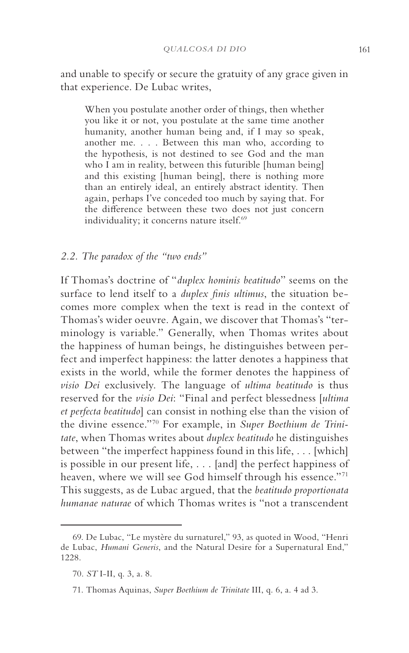and unable to specify or secure the gratuity of any grace given in that experience. De Lubac writes,

When you postulate another order of things, then whether you like it or not, you postulate at the same time another humanity, another human being and, if I may so speak, another me. . . . Between this man who, according to the hypothesis, is not destined to see God and the man who I am in reality, between this futurible [human being] and this existing [human being], there is nothing more than an entirely ideal, an entirely abstract identity. Then again, perhaps I've conceded too much by saying that. For the difference between these two does not just concern individuality; it concerns nature itself.<sup>69</sup>

#### *2.2. The paradox of the "two ends"*

If Thomas's doctrine of "*duplex hominis beatitudo*" seems on the surface to lend itself to a *duplex finis ultimus*, the situation becomes more complex when the text is read in the context of Thomas's wider oeuvre. Again, we discover that Thomas's "terminology is variable." Generally, when Thomas writes about the happiness of human beings, he distinguishes between perfect and imperfect happiness: the latter denotes a happiness that exists in the world, while the former denotes the happiness of *visio Dei* exclusively. The language of *ultima beatitudo* is thus reserved for the *visio Dei*: "Final and perfect blessedness [*ultima et perfecta beatitudo*] can consist in nothing else than the vision of the divine essence."70 For example, in *Super Boethium de Trinitate*, when Thomas writes about *duplex beatitudo* he distinguishes between "the imperfect happiness found in this life, . . . [which] is possible in our present life, . . . [and] the perfect happiness of heaven, where we will see God himself through his essence."71 This suggests, as de Lubac argued, that the *beatitudo proportionata humanae naturae* of which Thomas writes is "not a transcendent

<sup>69.</sup> De Lubac, "Le mystère du surnaturel," 93, as quoted in Wood, "Henri de Lubac, *Humani Generis*, and the Natural Desire for a Supernatural End," 1228.

<sup>70.</sup> *ST* I-II, q. 3, a. 8.

<sup>71.</sup> Thomas Aquinas, *Super Boethium de Trinitate* III, q. 6, a. 4 ad 3.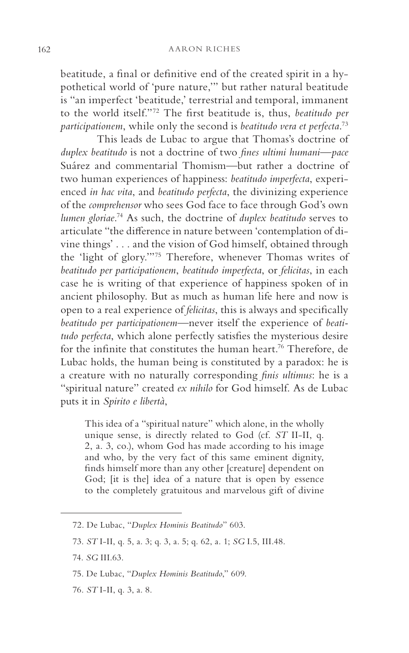beatitude, a final or definitive end of the created spirit in a hypothetical world of 'pure nature,'" but rather natural beatitude is "an imperfect 'beatitude,' terrestrial and temporal, immanent to the world itself."72 The first beatitude is, thus, *beatitudo per participationem*, while only the second is *beatitudo vera et perfecta*. 73

This leads de Lubac to argue that Thomas's doctrine of *duplex beatitudo* is not a doctrine of two *fines ultimi humani*—*pace* Suárez and commentarial Thomism—but rather a doctrine of two human experiences of happiness: *beatitudo imperfecta*, experienced *in hac vita*, and *beatitudo perfecta*, the divinizing experience of the *comprehensor* who sees God face to face through God's own *lumen gloriae*. 74 As such, the doctrine of *duplex beatitudo* serves to articulate "the difference in nature between 'contemplation of divine things' . . . and the vision of God himself, obtained through the 'light of glory.'"75 Therefore, whenever Thomas writes of *beatitudo per participationem*, *beatitudo imperfecta*, or *felicitas*, in each case he is writing of that experience of happiness spoken of in ancient philosophy. But as much as human life here and now is open to a real experience of *felicitas*, this is always and specifically *beatitudo per participationem*—never itself the experience of *beatitudo perfecta*, which alone perfectly satisfies the mysterious desire for the infinite that constitutes the human heart.76 Therefore, de Lubac holds, the human being is constituted by a paradox: he is a creature with no naturally corresponding *finis ultimus*: he is a "spiritual nature" created *ex nihilo* for God himself. As de Lubac puts it in *Spirito e libertà*,

This idea of a "spiritual nature" which alone, in the wholly unique sense, is directly related to God (cf. *ST* II-II, q. 2, a. 3, co.), whom God has made according to his image and who, by the very fact of this same eminent dignity, finds himself more than any other [creature] dependent on God; [it is the] idea of a nature that is open by essence to the completely gratuitous and marvelous gift of divine

76. *ST* I-II, q. 3, a. 8.

<sup>72.</sup> De Lubac, "*Duplex Hominis Beatitudo*" 603.

<sup>73.</sup> *ST* I-II, q. 5, a. 3; q. 3, a. 5; q. 62, a. 1; *SG* I.5, III.48.

<sup>74.</sup> *SG* III.63.

<sup>75.</sup> De Lubac, "*Duplex Hominis Beatitudo*," 609.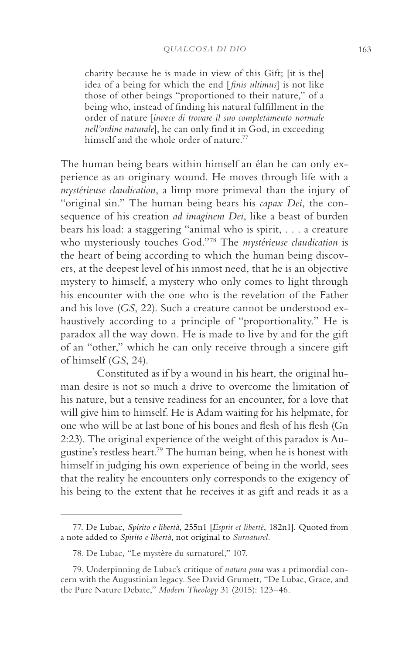charity because he is made in view of this Gift; [it is the] idea of a being for which the end [ *finis ultimus*] is not like those of other beings "proportioned to their nature," of a being who, instead of finding his natural fulfillment in the order of nature [*invece di trovare il suo completamento normale nell'ordine naturale*], he can only find it in God, in exceeding himself and the whole order of nature.<sup>77</sup>

The human being bears within himself an élan he can only experience as an originary wound. He moves through life with a *mystérieuse claudication*, a limp more primeval than the injury of "original sin." The human being bears his *capax Dei*, the consequence of his creation *ad imaginem Dei*, like a beast of burden bears his load: a staggering "animal who is spirit, . . . a creature who mysteriously touches God."78 The *mystérieuse claudication* is the heart of being according to which the human being discovers, at the deepest level of his inmost need, that he is an objective mystery to himself, a mystery who only comes to light through his encounter with the one who is the revelation of the Father and his love (*GS*, 22). Such a creature cannot be understood exhaustively according to a principle of "proportionality." He is paradox all the way down. He is made to live by and for the gift of an "other," which he can only receive through a sincere gift of himself (*GS*, 24).

Constituted as if by a wound in his heart, the original human desire is not so much a drive to overcome the limitation of his nature, but a tensive readiness for an encounter, for a love that will give him to himself. He is Adam waiting for his helpmate, for one who will be at last bone of his bones and flesh of his flesh (Gn 2:23). The original experience of the weight of this paradox is Augustine's restless heart.79 The human being, when he is honest with himself in judging his own experience of being in the world, sees that the reality he encounters only corresponds to the exigency of his being to the extent that he receives it as gift and reads it as a

<sup>77.</sup> De Lubac, *Spirito e libertà*, 255n1 [*Esprit et liberté*, 182n1]. Quoted from a note added to *Spirito e libertà*, not original to *Surnaturel.*

<sup>78.</sup> De Lubac, "Le mystère du surnaturel," 107.

<sup>79.</sup> Underpinning de Lubac's critique of *natura pura* was a primordial concern with the Augustinian legacy. See David Grumett, "De Lubac, Grace, and the Pure Nature Debate," *Modern Theology* 31 (2015): 123–46.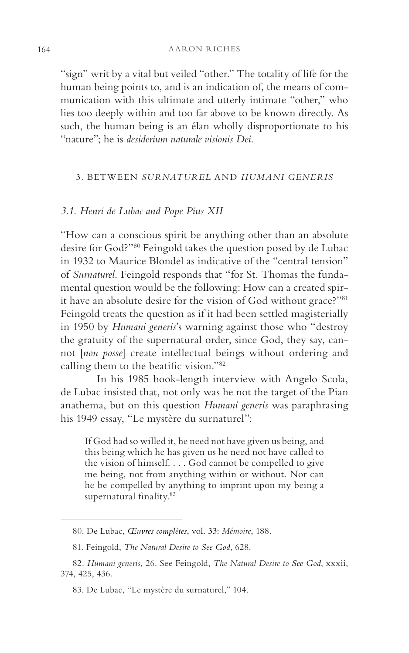"sign" writ by a vital but veiled "other." The totality of life for the human being points to, and is an indication of, the means of communication with this ultimate and utterly intimate "other," who lies too deeply within and too far above to be known directly. As such, the human being is an élan wholly disproportionate to his "nature"; he is *desiderium naturale visionis Dei*.

# 3. BETWEEN *SURNATUREL* AND *HUMANI GENERIS*

#### *3.1. Henri de Lubac and Pope Pius XII*

"How can a conscious spirit be anything other than an absolute desire for God?"80 Feingold takes the question posed by de Lubac in 1932 to Maurice Blondel as indicative of the "central tension" of *Surnaturel*. Feingold responds that "for St. Thomas the fundamental question would be the following: How can a created spirit have an absolute desire for the vision of God without grace?"<sup>81</sup> Feingold treats the question as if it had been settled magisterially in 1950 by *Humani generis*'s warning against those who "destroy the gratuity of the supernatural order, since God, they say, cannot [*non posse*] create intellectual beings without ordering and calling them to the beatific vision."82

In his 1985 book-length interview with Angelo Scola, de Lubac insisted that, not only was he not the target of the Pian anathema, but on this question *Humani generis* was paraphrasing his 1949 essay, "Le mystère du surnaturel":

If God had so willed it, he need not have given us being, and this being which he has given us he need not have called to the vision of himself. . . . God cannot be compelled to give me being, not from anything within or without. Nor can he be compelled by anything to imprint upon my being a supernatural finality.<sup>83</sup>

<sup>80.</sup> De Lubac, *Œuvres complètes*, vol. 33: *Mémoire*, 188.

<sup>81.</sup> Feingold, *The Natural Desire to See God*, 628.

<sup>82.</sup> *Humani generis*, 26. See Feingold, *The Natural Desire to See God*, xxxii, 374, 425, 436.

<sup>83.</sup> De Lubac, "Le mystère du surnaturel," 104.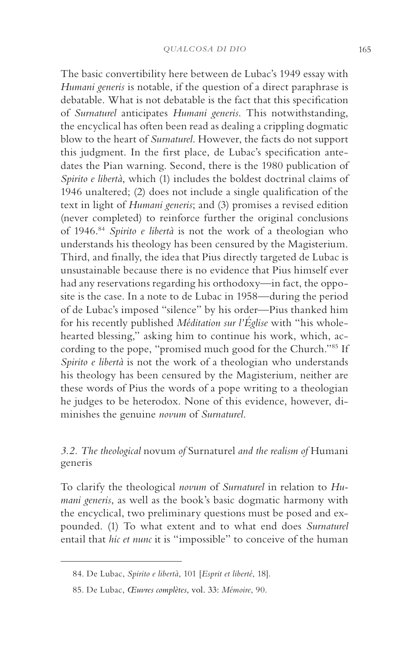The basic convertibility here between de Lubac's 1949 essay with *Humani generis* is notable, if the question of a direct paraphrase is debatable. What is not debatable is the fact that this specification of *Surnaturel* anticipates *Humani generis*. This notwithstanding, the encyclical has often been read as dealing a crippling dogmatic blow to the heart of *Surnaturel*. However, the facts do not support this judgment. In the first place, de Lubac's specification antedates the Pian warning. Second, there is the 1980 publication of *Spirito e libertà*, which (1) includes the boldest doctrinal claims of 1946 unaltered; (2) does not include a single qualification of the text in light of *Humani generis*; and (3) promises a revised edition (never completed) to reinforce further the original conclusions of 1946.84 *Spirito e libertà* is not the work of a theologian who understands his theology has been censured by the Magisterium. Third, and finally, the idea that Pius directly targeted de Lubac is unsustainable because there is no evidence that Pius himself ever had any reservations regarding his orthodoxy—in fact, the opposite is the case. In a note to de Lubac in 1958—during the period of de Lubac's imposed "silence" by his order—Pius thanked him for his recently published *Méditation sur l'Église* with "his wholehearted blessing," asking him to continue his work, which, according to the pope, "promised much good for the Church."85 If *Spirito e libertà* is not the work of a theologian who understands his theology has been censured by the Magisterium, neither are these words of Pius the words of a pope writing to a theologian he judges to be heterodox. None of this evidence, however, diminishes the genuine *novum* of *Surnaturel*.

# *3.2. The theological* novum *of* Surnaturel *and the realism of* Humani generis

To clarify the theological *novum* of *Surnaturel* in relation to *Humani generis*, as well as the book's basic dogmatic harmony with the encyclical, two preliminary questions must be posed and expounded. (1) To what extent and to what end does *Surnaturel* entail that *hic et nunc* it is "impossible" to conceive of the human

<sup>84.</sup> De Lubac, *Spirito e libertà*, 101 [*Esprit et liberté*, 18].

<sup>85.</sup> De Lubac, *Œuvres complètes*, vol. 33: *Mémoire*, 90.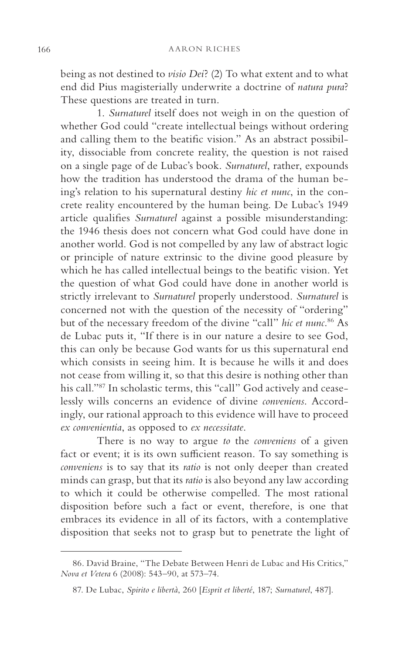being as not destined to *visio Dei*? (2) To what extent and to what end did Pius magisterially underwrite a doctrine of *natura pura*? These questions are treated in turn.

1. *Surnaturel* itself does not weigh in on the question of whether God could "create intellectual beings without ordering and calling them to the beatific vision." As an abstract possibility, dissociable from concrete reality, the question is not raised on a single page of de Lubac's book. *Surnaturel*, rather, expounds how the tradition has understood the drama of the human being's relation to his supernatural destiny *hic et nunc*, in the concrete reality encountered by the human being. De Lubac's 1949 article qualifies *Surnaturel* against a possible misunderstanding: the 1946 thesis does not concern what God could have done in another world. God is not compelled by any law of abstract logic or principle of nature extrinsic to the divine good pleasure by which he has called intellectual beings to the beatific vision. Yet the question of what God could have done in another world is strictly irrelevant to *Surnaturel* properly understood. *Surnaturel* is concerned not with the question of the necessity of "ordering" but of the necessary freedom of the divine "call" *hic et nunc*. 86 As de Lubac puts it, "If there is in our nature a desire to see God, this can only be because God wants for us this supernatural end which consists in seeing him. It is because he wills it and does not cease from willing it, so that this desire is nothing other than his call."87 In scholastic terms, this "call" God actively and ceaselessly wills concerns an evidence of divine *conveniens*. Accordingly, our rational approach to this evidence will have to proceed *ex convenientia*, as opposed to *ex necessitate*.

There is no way to argue *to* the *conveniens* of a given fact or event; it is its own sufficient reason. To say something is *conveniens* is to say that its *ratio* is not only deeper than created minds can grasp, but that its *ratio* is also beyond any law according to which it could be otherwise compelled. The most rational disposition before such a fact or event, therefore, is one that embraces its evidence in all of its factors, with a contemplative disposition that seeks not to grasp but to penetrate the light of

<sup>86.</sup> David Braine, "The Debate Between Henri de Lubac and His Critics," *Nova et Vetera* 6 (2008): 543–90, at 573–74.

<sup>87.</sup> De Lubac, *Spirito e libertà*, 260 [*Esprit et liberté*, 187; *Surnaturel*, 487].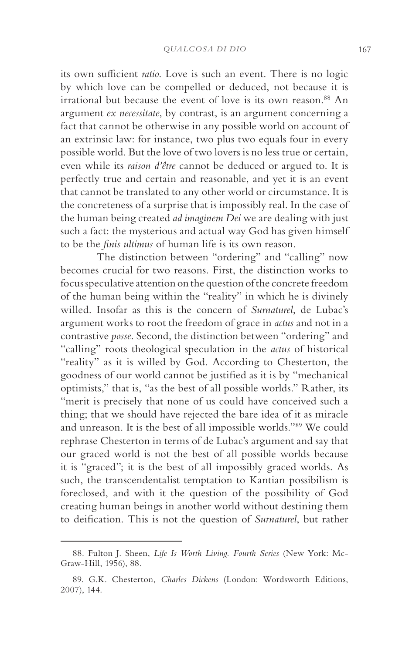its own sufficient *ratio*. Love is such an event. There is no logic by which love can be compelled or deduced, not because it is irrational but because the event of love is its own reason.<sup>88</sup> An argument *ex necessitate*, by contrast, is an argument concerning a fact that cannot be otherwise in any possible world on account of an extrinsic law: for instance, two plus two equals four in every possible world. But the love of two lovers is no less true or certain, even while its *raison d'être* cannot be deduced or argued to. It is perfectly true and certain and reasonable, and yet it is an event that cannot be translated to any other world or circumstance. It is the concreteness of a surprise that is impossibly real. In the case of the human being created *ad imaginem Dei* we are dealing with just such a fact: the mysterious and actual way God has given himself to be the *finis ultimus* of human life is its own reason.

The distinction between "ordering" and "calling" now becomes crucial for two reasons. First, the distinction works to focus speculative attention on the question of the concrete freedom of the human being within the "reality" in which he is divinely willed. Insofar as this is the concern of *Surnaturel*, de Lubac's argument works to root the freedom of grace in *actus* and not in a contrastive *posse*. Second, the distinction between "ordering" and "calling" roots theological speculation in the *actus* of historical "reality" as it is willed by God. According to Chesterton, the goodness of our world cannot be justified as it is by "mechanical optimists," that is, "as the best of all possible worlds." Rather, its "merit is precisely that none of us could have conceived such a thing; that we should have rejected the bare idea of it as miracle and unreason. It is the best of all impossible worlds."89 We could rephrase Chesterton in terms of de Lubac's argument and say that our graced world is not the best of all possible worlds because it is "graced"; it is the best of all impossibly graced worlds. As such, the transcendentalist temptation to Kantian possibilism is foreclosed, and with it the question of the possibility of God creating human beings in another world without destining them to deification. This is not the question of *Surnaturel*, but rather

<sup>88.</sup> Fulton J. Sheen, *Life Is Worth Living. Fourth Series* (New York: Mc-Graw-Hill, 1956), 88.

<sup>89.</sup> G.K. Chesterton, *Charles Dickens* (London: Wordsworth Editions, 2007), 144.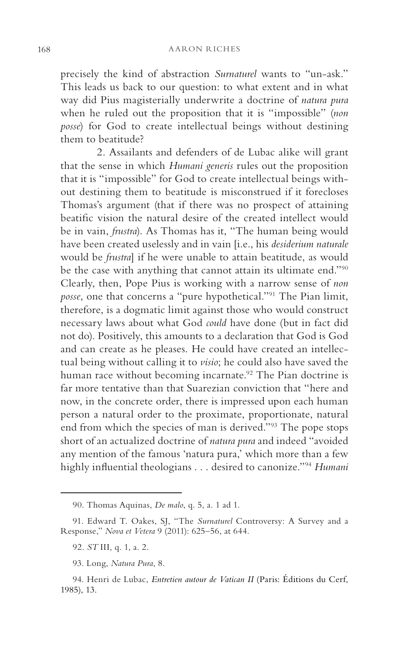precisely the kind of abstraction *Surnaturel* wants to "un-ask." This leads us back to our question: to what extent and in what way did Pius magisterially underwrite a doctrine of *natura pura* when he ruled out the proposition that it is "impossible" (*non posse*) for God to create intellectual beings without destining them to beatitude?

2. Assailants and defenders of de Lubac alike will grant that the sense in which *Humani generis* rules out the proposition that it is "impossible" for God to create intellectual beings without destining them to beatitude is misconstrued if it forecloses Thomas's argument (that if there was no prospect of attaining beatific vision the natural desire of the created intellect would be in vain, *frustra*). As Thomas has it, "The human being would have been created uselessly and in vain [i.e., his *desiderium naturale* would be *frustra*] if he were unable to attain beatitude, as would be the case with anything that cannot attain its ultimate end."90 Clearly, then, Pope Pius is working with a narrow sense of *non posse*, one that concerns a "pure hypothetical."<sup>91</sup> The Pian limit, therefore, is a dogmatic limit against those who would construct necessary laws about what God *could* have done (but in fact did not do). Positively, this amounts to a declaration that God is God and can create as he pleases. He could have created an intellectual being without calling it to *visio*; he could also have saved the human race without becoming incarnate.<sup>92</sup> The Pian doctrine is far more tentative than that Suarezian conviction that "here and now, in the concrete order, there is impressed upon each human person a natural order to the proximate, proportionate, natural end from which the species of man is derived."93 The pope stops short of an actualized doctrine of *natura pura* and indeed "avoided any mention of the famous 'natura pura,' which more than a few highly influential theologians . . . desired to canonize."94 *Humani* 

<sup>90.</sup> Thomas Aquinas, *De malo*, q. 5, a. 1 ad 1.

<sup>91.</sup> Edward T. Oakes, SJ, "The *Surnaturel* Controversy: A Survey and a Response," *Nova et Vetera* 9 (2011): 625–56, at 644.

<sup>92.</sup> *ST* III, q. 1, a. 2.

<sup>93.</sup> Long, *Natura Pura*, 8.

<sup>94.</sup> Henri de Lubac, *Entretien autour de Vatican II* (Paris: Éditions du Cerf, 1985), 13.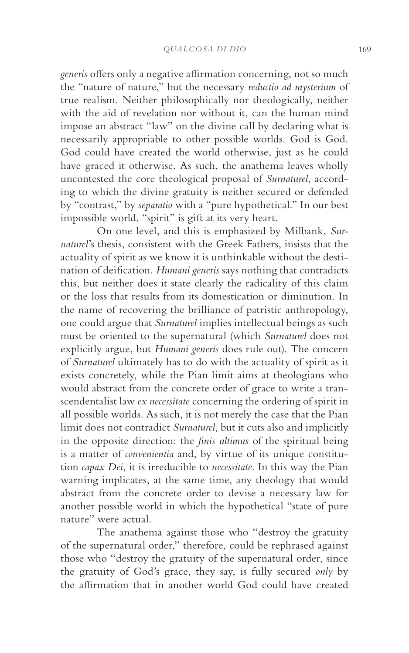*generis* offers only a negative affirmation concerning, not so much the "nature of nature," but the necessary *reductio ad mysterium* of true realism. Neither philosophically nor theologically, neither with the aid of revelation nor without it, can the human mind impose an abstract "law" on the divine call by declaring what is necessarily appropriable to other possible worlds. God is God. God could have created the world otherwise, just as he could have graced it otherwise. As such, the anathema leaves wholly uncontested the core theological proposal of *Surnaturel*, according to which the divine gratuity is neither secured or defended by "contrast," by *separatio* with a "pure hypothetical." In our best impossible world, "spirit" is gift at its very heart.

On one level, and this is emphasized by Milbank, *Surnaturel*'s thesis, consistent with the Greek Fathers, insists that the actuality of spirit as we know it is unthinkable without the destination of deification. *Humani generis* says nothing that contradicts this, but neither does it state clearly the radicality of this claim or the loss that results from its domestication or diminution. In the name of recovering the brilliance of patristic anthropology, one could argue that *Surnaturel* implies intellectual beings as such must be oriented to the supernatural (which *Surnaturel* does not explicitly argue, but *Humani generis* does rule out). The concern of *Surnaturel* ultimately has to do with the actuality of spirit as it exists concretely, while the Pian limit aims at theologians who would abstract from the concrete order of grace to write a transcendentalist law *ex necessitate* concerning the ordering of spirit in all possible worlds. As such, it is not merely the case that the Pian limit does not contradict *Surnaturel*, but it cuts also and implicitly in the opposite direction: the *finis ultimus* of the spiritual being is a matter of *convenientia* and, by virtue of its unique constitution *capax Dei*, it is irreducible to *necessitate*. In this way the Pian warning implicates, at the same time, any theology that would abstract from the concrete order to devise a necessary law for another possible world in which the hypothetical "state of pure nature" were actual.

The anathema against those who "destroy the gratuity of the supernatural order," therefore, could be rephrased against those who "destroy the gratuity of the supernatural order, since the gratuity of God's grace, they say, is fully secured *only* by the affirmation that in another world God could have created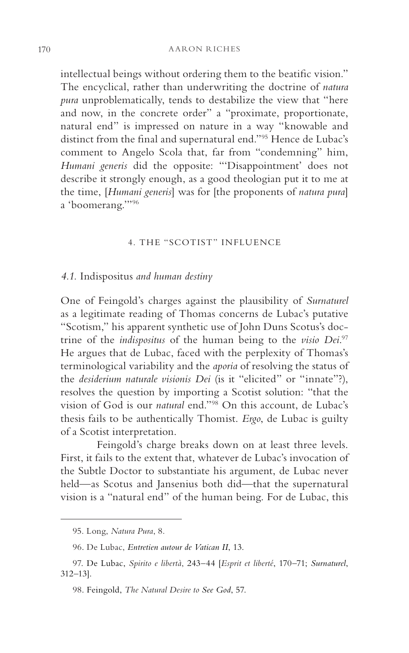intellectual beings without ordering them to the beatific vision." The encyclical, rather than underwriting the doctrine of *natura pura* unproblematically, tends to destabilize the view that "here and now, in the concrete order" a "proximate, proportionate, natural end" is impressed on nature in a way "knowable and distinct from the final and supernatural end."95 Hence de Lubac's comment to Angelo Scola that, far from "condemning" him, *Humani generis* did the opposite: "'Disappointment' does not describe it strongly enough, as a good theologian put it to me at the time, [*Humani generis*] was for [the proponents of *natura pura*] a 'boomerang.'"96

#### 4. THE "SCOTIST" INFLUENCE

# *4.1.* Indispositus *and human destiny*

One of Feingold's charges against the plausibility of *Surnaturel* as a legitimate reading of Thomas concerns de Lubac's putative "Scotism," his apparent synthetic use of John Duns Scotus's doctrine of the *indispositus* of the human being to the *visio Dei*. 97 He argues that de Lubac, faced with the perplexity of Thomas's terminological variability and the *aporia* of resolving the status of the *desiderium naturale visionis Dei* (is it "elicited" or "innate"?), resolves the question by importing a Scotist solution: "that the vision of God is our *natural* end."98 On this account, de Lubac's thesis fails to be authentically Thomist. *Ergo*, de Lubac is guilty of a Scotist interpretation.

Feingold's charge breaks down on at least three levels. First, it fails to the extent that, whatever de Lubac's invocation of the Subtle Doctor to substantiate his argument, de Lubac never held—as Scotus and Jansenius both did—that the supernatural vision is a "natural end" of the human being. For de Lubac, this

<sup>95.</sup> Long, *Natura Pura*, 8.

<sup>96.</sup> De Lubac, *Entretien autour de Vatican II*, 13.

<sup>97.</sup> De Lubac, *Spirito e libertà*, 243–44 [*Esprit et liberté*, 170–71; *Surnaturel*, 312–13].

<sup>98.</sup> Feingold, *The Natural Desire to See God*, 57.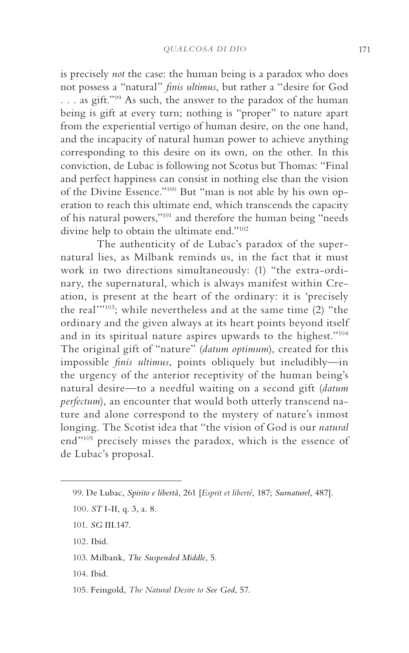is precisely *not* the case: the human being is a paradox who does not possess a "natural" *finis ultimus*, but rather a "desire for God . . . as gift."99 As such, the answer to the paradox of the human being is gift at every turn; nothing is "proper" to nature apart from the experiential vertigo of human desire, on the one hand, and the incapacity of natural human power to achieve anything corresponding to this desire on its own, on the other. In this conviction, de Lubac is following not Scotus but Thomas: "Final and perfect happiness can consist in nothing else than the vision of the Divine Essence."100 But "man is not able by his own operation to reach this ultimate end, which transcends the capacity of his natural powers,"101 and therefore the human being "needs divine help to obtain the ultimate end."102

The authenticity of de Lubac's paradox of the supernatural lies, as Milbank reminds us, in the fact that it must work in two directions simultaneously: (1) "the extra-ordinary, the supernatural, which is always manifest within Creation, is present at the heart of the ordinary: it is 'precisely the real'"103; while nevertheless and at the same time (2) "the ordinary and the given always at its heart points beyond itself and in its spiritual nature aspires upwards to the highest."104 The original gift of "nature" (*datum optimum*), created for this impossible *finis ultimus*, points obliquely but ineludibly—in the urgency of the anterior receptivity of the human being's natural desire—to a needful waiting on a second gift (*datum perfectum*), an encounter that would both utterly transcend nature and alone correspond to the mystery of nature's inmost longing. The Scotist idea that "the vision of God is our *natural* end"105 precisely misses the paradox, which is the essence of de Lubac's proposal.

- 102. Ibid.
- 103. Milbank, *The Suspended Middle*, 5.
- 104. Ibid.
- 105. Feingold, *The Natural Desire to See God*, 57.

<sup>99.</sup> De Lubac, *Spirito e libertà*, 261 [*Esprit et liberté*, 187; *Surnaturel*, 487].

<sup>100.</sup> *ST* I-II, q. 3, a. 8.

<sup>101.</sup> *SG* III.147.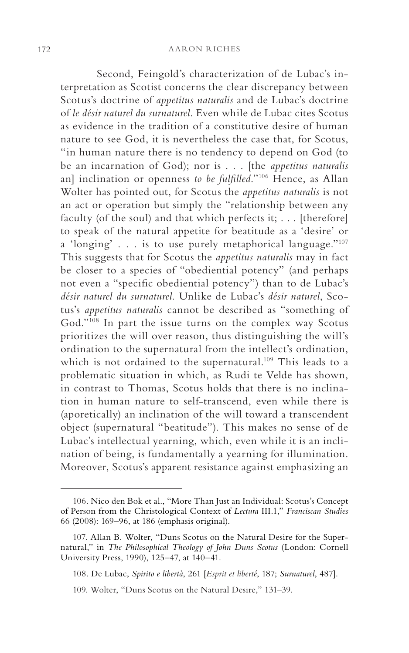Second, Feingold's characterization of de Lubac's interpretation as Scotist concerns the clear discrepancy between Scotus's doctrine of *appetitus naturalis* and de Lubac's doctrine of *le désir naturel du surnaturel*. Even while de Lubac cites Scotus as evidence in the tradition of a constitutive desire of human nature to see God, it is nevertheless the case that, for Scotus, "in human nature there is no tendency to depend on God (to be an incarnation of God); nor is . . . [the *appetitus naturalis* an] inclination or openness *to be fulfilled*."106 Hence, as Allan Wolter has pointed out, for Scotus the *appetitus naturalis* is not an act or operation but simply the "relationship between any faculty (of the soul) and that which perfects it; . . . [therefore] to speak of the natural appetite for beatitude as a 'desire' or a 'longing' . . . is to use purely metaphorical language."107 This suggests that for Scotus the *appetitus naturalis* may in fact be closer to a species of "obediential potency" (and perhaps not even a "specific obediential potency") than to de Lubac's *désir naturel du surnaturel*. Unlike de Lubac's *désir naturel*, Scotus's *appetitus naturalis* cannot be described as "something of God."108 In part the issue turns on the complex way Scotus prioritizes the will over reason, thus distinguishing the will's ordination to the supernatural from the intellect's ordination, which is not ordained to the supernatural.<sup>109</sup> This leads to a problematic situation in which, as Rudi te Velde has shown, in contrast to Thomas, Scotus holds that there is no inclination in human nature to self-transcend, even while there is (aporetically) an inclination of the will toward a transcendent object (supernatural "beatitude"). This makes no sense of de Lubac's intellectual yearning, which, even while it is an inclination of being, is fundamentally a yearning for illumination. Moreover, Scotus's apparent resistance against emphasizing an

<sup>106.</sup> Nico den Bok et al., "More Than Just an Individual: Scotus's Concept of Person from the Christological Context of *Lectura* III.1," *Franciscan Studies* 66 (2008): 169–96, at 186 (emphasis original).

<sup>107.</sup> Allan B. Wolter, "Duns Scotus on the Natural Desire for the Supernatural," in *The Philosophical Theology of John Duns Scotus* (London: Cornell University Press, 1990), 125–47, at 140–41.

<sup>108.</sup> De Lubac, *Spirito e libertà*, 261 [*Esprit et liberté*, 187; *Surnaturel*, 487].

<sup>109.</sup> Wolter, "Duns Scotus on the Natural Desire," 131–39.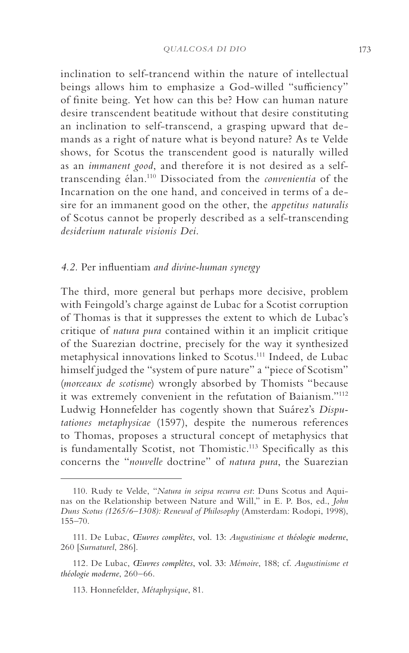inclination to self-trancend within the nature of intellectual beings allows him to emphasize a God-willed "sufficiency" of finite being. Yet how can this be? How can human nature desire transcendent beatitude without that desire constituting an inclination to self-transcend, a grasping upward that demands as a right of nature what is beyond nature? As te Velde shows, for Scotus the transcendent good is naturally willed as an *immanent good*, and therefore it is not desired as a selftranscending élan. 110 Dissociated from the *convenientia* of the Incarnation on the one hand, and conceived in terms of a desire for an immanent good on the other, the *appetitus naturalis* of Scotus cannot be properly described as a self-transcending *desiderium naturale visionis Dei*.

# *4.2.* Per influentiam *and divine-human synergy*

The third, more general but perhaps more decisive, problem with Feingold's charge against de Lubac for a Scotist corruption of Thomas is that it suppresses the extent to which de Lubac's critique of *natura pura* contained within it an implicit critique of the Suarezian doctrine, precisely for the way it synthesized metaphysical innovations linked to Scotus.111 Indeed, de Lubac himself judged the "system of pure nature" a "piece of Scotism" (*morceaux de scotisme*) wrongly absorbed by Thomists "because it was extremely convenient in the refutation of Baianism."112 Ludwig Honnefelder has cogently shown that Suárez's *Disputationes metaphysicae* (1597), despite the numerous references to Thomas, proposes a structural concept of metaphysics that is fundamentally Scotist, not Thomistic.113 Specifically as this concerns the "*nouvelle* doctrine" of *natura pura*, the Suarezian

<sup>110.</sup> Rudy te Velde, "*Natura in seipsa recurva est*: Duns Scotus and Aquinas on the Relationship between Nature and Will," in E. P. Bos, ed., *John Duns Scotus (1265/6–1308): Renewal of Philosophy* (Amsterdam: Rodopi, 1998), 155–70.

<sup>111.</sup> De Lubac, *Œuvres complètes*, vol. 13: *Augustinisme et théologie moderne*, 260 [*Surnaturel*, 286].

<sup>112.</sup> De Lubac, *Œuvres complètes*, vol. 33: *Mémoire*, 188; cf. *Augustinisme et théologie moderne*, 260–66.

<sup>113.</sup> Honnefelder, *Métaphysique*, 81.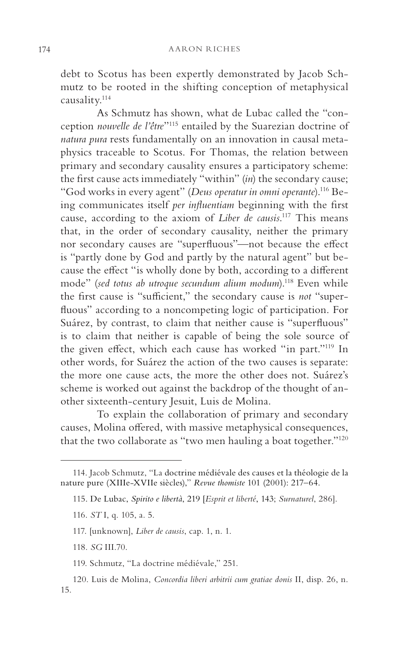debt to Scotus has been expertly demonstrated by Jacob Schmutz to be rooted in the shifting conception of metaphysical causality.114

As Schmutz has shown, what de Lubac called the "conception *nouvelle de l'être*"115 entailed by the Suarezian doctrine of *natura pura* rests fundamentally on an innovation in causal metaphysics traceable to Scotus. For Thomas, the relation between primary and secondary causality ensures a participatory scheme: the first cause acts immediately "within" (*in*) the secondary cause; "God works in every agent" (*Deus operatur in omni operante*).116 Being communicates itself *per influentiam* beginning with the first cause, according to the axiom of *Liber de causis*. 117 This means that, in the order of secondary causality, neither the primary nor secondary causes are "superfluous"—not because the effect is "partly done by God and partly by the natural agent" but because the effect "is wholly done by both, according to a different mode" (*sed totus ab utroque secundum alium modum*).118 Even while the first cause is "sufficient," the secondary cause is *not* "superfluous" according to a noncompeting logic of participation. For Suárez, by contrast, to claim that neither cause is "superfluous" is to claim that neither is capable of being the sole source of the given effect, which each cause has worked "in part."119 In other words, for Suárez the action of the two causes is separate: the more one cause acts, the more the other does not. Suárez's scheme is worked out against the backdrop of the thought of another sixteenth-century Jesuit, Luis de Molina.

To explain the collaboration of primary and secondary causes, Molina offered, with massive metaphysical consequences, that the two collaborate as "two men hauling a boat together."120

<sup>114.</sup> Jacob Schmutz, "La doctrine médiévale des causes et la théologie de la nature pure (XIIIe-XVIIe siècles)," *Revue thomiste* 101 (2001): 217–64.

<sup>115.</sup> De Lubac, *Spirito e libertà*, 219 [*Esprit et liberté*, 143; *Surnaturel*, 286].

<sup>116.</sup> *ST* I, q. 105, a. 5.

<sup>117. [</sup>unknown], *Liber de causis*, cap. 1, n. 1.

<sup>118.</sup> *SG* III.70.

<sup>119.</sup> Schmutz, "La doctrine médiévale," 251.

<sup>120.</sup> Luis de Molina, *Concordia liberi arbitrii cum gratiae donis* II, disp. 26, n. 15.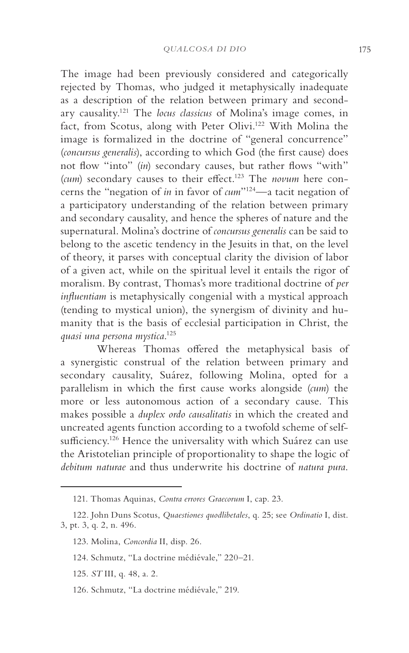The image had been previously considered and categorically rejected by Thomas, who judged it metaphysically inadequate as a description of the relation between primary and secondary causality.121 The *locus classicus* of Molina's image comes, in fact, from Scotus, along with Peter Olivi.<sup>122</sup> With Molina the image is formalized in the doctrine of "general concurrence" (*concursus generalis*), according to which God (the first cause) does not flow "into" (*in*) secondary causes, but rather flows "with" (*cum*) secondary causes to their effect.123 The *novum* here concerns the "negation of *in* in favor of *cum*"124—a tacit negation of a participatory understanding of the relation between primary and secondary causality, and hence the spheres of nature and the supernatural. Molina's doctrine of *concursus generalis* can be said to belong to the ascetic tendency in the Jesuits in that, on the level of theory, it parses with conceptual clarity the division of labor of a given act, while on the spiritual level it entails the rigor of moralism. By contrast, Thomas's more traditional doctrine of *per influentiam* is metaphysically congenial with a mystical approach (tending to mystical union), the synergism of divinity and humanity that is the basis of ecclesial participation in Christ, the *quasi una persona mystica*. 125

Whereas Thomas offered the metaphysical basis of a synergistic construal of the relation between primary and secondary causality, Suárez, following Molina, opted for a parallelism in which the first cause works alongside (*cum*) the more or less autonomous action of a secondary cause. This makes possible a *duplex ordo causalitatis* in which the created and uncreated agents function according to a twofold scheme of selfsufficiency.<sup>126</sup> Hence the universality with which Suárez can use the Aristotelian principle of proportionality to shape the logic of *debitum naturae* and thus underwrite his doctrine of *natura pura*.

- 123. Molina, *Concordia* II, disp. 26.
- 124. Schmutz, "La doctrine médiévale," 220–21.
- 125. *ST* III, q. 48, a. 2.
- 126. Schmutz, "La doctrine médiévale," 219.

<sup>121.</sup> Thomas Aquinas, *Contra errores Graecorum* I, cap. 23.

<sup>122.</sup> John Duns Scotus, *Quaestiones quodlibetales*, q. 25; see *Ordinatio* I, dist. 3, pt. 3, q. 2, n. 496.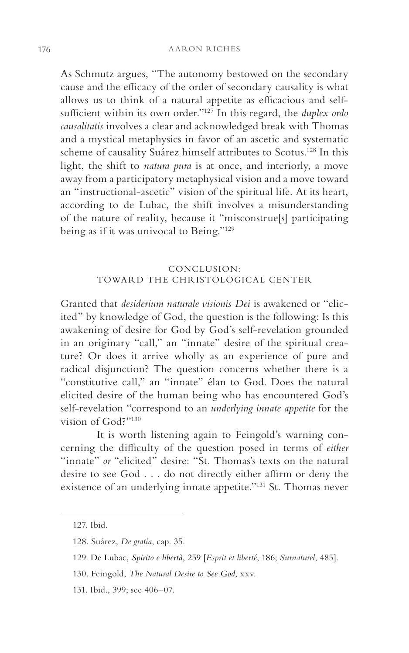As Schmutz argues, "The autonomy bestowed on the secondary cause and the efficacy of the order of secondary causality is what allows us to think of a natural appetite as efficacious and selfsufficient within its own order."127 In this regard, the *duplex ordo causalitatis* involves a clear and acknowledged break with Thomas and a mystical metaphysics in favor of an ascetic and systematic scheme of causality Suárez himself attributes to Scotus.<sup>128</sup> In this light, the shift to *natura pura* is at once, and interiorly, a move away from a participatory metaphysical vision and a move toward an "instructional-ascetic" vision of the spiritual life. At its heart, according to de Lubac, the shift involves a misunderstanding of the nature of reality, because it "misconstrue[s] participating being as if it was univocal to Being."129

# CONCLUSION: TOWARD THE CHRISTOLOGICAL CENTER

Granted that *desiderium naturale visionis Dei* is awakened or "elicited" by knowledge of God, the question is the following: Is this awakening of desire for God by God's self-revelation grounded in an originary "call," an "innate" desire of the spiritual creature? Or does it arrive wholly as an experience of pure and radical disjunction? The question concerns whether there is a "constitutive call," an "innate" élan to God. Does the natural elicited desire of the human being who has encountered God's self-revelation "correspond to an *underlying innate appetite* for the vision of God?"130

It is worth listening again to Feingold's warning concerning the difficulty of the question posed in terms of *either* "innate" *or* "elicited" desire: "St. Thomas's texts on the natural desire to see God . . . do not directly either affirm or deny the existence of an underlying innate appetite."131 St. Thomas never

131. Ibid., 399; see 406–07.

<sup>127.</sup> Ibid.

<sup>128.</sup> Suárez, *De gratia*, cap. 35.

<sup>129.</sup> De Lubac, *Spirito e libertà*, 259 [*Esprit et liberté*, 186; *Surnaturel*, 485].

<sup>130.</sup> Feingold, *The Natural Desire to See God*, xxv.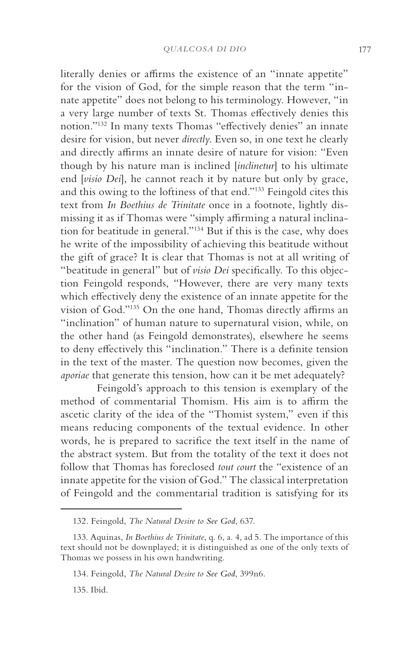literally denies or affirms the existence of an "innate appetite" for the vision of God, for the simple reason that the term "innate appetite" does not belong to his terminology. However, "in a very large number of texts St. Thomas effectively denies this notion."132 In many texts Thomas "effectively denies" an innate desire for vision, but never *directly*. Even so, in one text he clearly and directly affirms an innate desire of nature for vision: "Even though by his nature man is inclined [*inclinetur*] to his ultimate end [*visio Dei*], he cannot reach it by nature but only by grace, and this owing to the loftiness of that end."133 Feingold cites this text from *In Boethius de Trinitate* once in a footnote, lightly dismissing it as if Thomas were "simply affirming a natural inclination for beatitude in general."134 But if this is the case, why does he write of the impossibility of achieving this beatitude without the gift of grace? It is clear that Thomas is not at all writing of "beatitude in general" but of *visio Dei* specifically. To this objection Feingold responds, "However, there are very many texts which effectively deny the existence of an innate appetite for the vision of God."135 On the one hand, Thomas directly affirms an "inclination" of human nature to supernatural vision, while, on the other hand (as Feingold demonstrates), elsewhere he seems to deny effectively this "inclination." There is a definite tension in the text of the master. The question now becomes, given the *aporiae* that generate this tension, how can it be met adequately?

Feingold's approach to this tension is exemplary of the method of commentarial Thomism. His aim is to affirm the ascetic clarity of the idea of the "Thomist system," even if this means reducing components of the textual evidence. In other words, he is prepared to sacrifice the text itself in the name of the abstract system. But from the totality of the text it does not follow that Thomas has foreclosed *tout court* the "existence of an innate appetite for the vision of God." The classical interpretation of Feingold and the commentarial tradition is satisfying for its

135. Ibid.

<sup>132.</sup> Feingold, *The Natural Desire to See God*, 637.

<sup>133.</sup> Aquinas, *In Boethius de Trinitate*, q. 6, a. 4, ad 5. The importance of this text should not be downplayed; it is distinguished as one of the only texts of Thomas we possess in his own handwriting.

<sup>134.</sup> Feingold, *The Natural Desire to See God*, 399n6.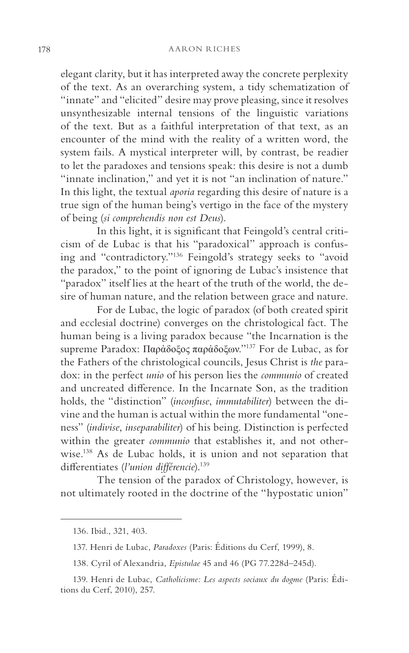elegant clarity, but it has interpreted away the concrete perplexity of the text. As an overarching system, a tidy schematization of "innate" and "elicited" desire may prove pleasing, since it resolves unsynthesizable internal tensions of the linguistic variations of the text. But as a faithful interpretation of that text, as an encounter of the mind with the reality of a written word, the system fails. A mystical interpreter will, by contrast, be readier to let the paradoxes and tensions speak: this desire is not a dumb "innate inclination," and yet it is not "an inclination of nature." In this light, the textual *aporia* regarding this desire of nature is a true sign of the human being's vertigo in the face of the mystery of being (*si comprehendis non est Deus*).

In this light, it is significant that Feingold's central criticism of de Lubac is that his "paradoxical" approach is confusing and "contradictory."136 Feingold's strategy seeks to "avoid the paradox," to the point of ignoring de Lubac's insistence that "paradox" itself lies at the heart of the truth of the world, the desire of human nature, and the relation between grace and nature.

For de Lubac, the logic of paradox (of both created spirit and ecclesial doctrine) converges on the christological fact. The human being is a living paradox because "the Incarnation is the supreme Paradox: Παρἀδοξος παρἀδοξων."137 For de Lubac, as for the Fathers of the christological councils, Jesus Christ is *the* paradox: in the perfect *unio* of his person lies the *communio* of created and uncreated difference. In the Incarnate Son, as the tradition holds, the "distinction" (*inconfuse*, *immutabiliter*) between the divine and the human is actual within the more fundamental "oneness" (*indivise*, *inseparabiliter*) of his being. Distinction is perfected within the greater *communio* that establishes it, and not otherwise.138 As de Lubac holds, it is union and not separation that differentiates (*l'union différencie*).139

The tension of the paradox of Christology, however, is not ultimately rooted in the doctrine of the "hypostatic union"

<sup>136.</sup> Ibid., 321, 403.

<sup>137.</sup> Henri de Lubac, *Paradoxes* (Paris: Éditions du Cerf, 1999), 8.

<sup>138.</sup> Cyril of Alexandria, *Epistulae* 45 and 46 (PG 77.228d–245d).

<sup>139.</sup> Henri de Lubac, *Catholicisme: Les aspects sociaux du dogme* (Paris: Éditions du Cerf, 2010), 257.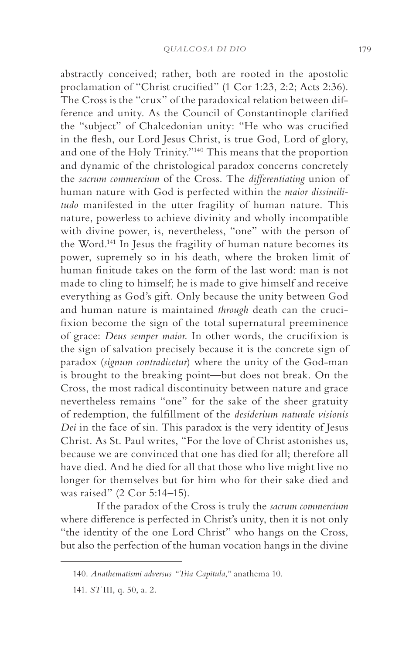abstractly conceived; rather, both are rooted in the apostolic proclamation of "Christ crucified" (1 Cor 1:23, 2:2; Acts 2:36). The Cross is the "crux" of the paradoxical relation between difference and unity. As the Council of Constantinople clarified the "subject" of Chalcedonian unity: "He who was crucified in the flesh, our Lord Jesus Christ, is true God, Lord of glory, and one of the Holy Trinity."140 This means that the proportion and dynamic of the christological paradox concerns concretely the *sacrum commercium* of the Cross. The *differentiating* union of human nature with God is perfected within the *maior dissimilitudo* manifested in the utter fragility of human nature. This nature, powerless to achieve divinity and wholly incompatible with divine power, is, nevertheless, "one" with the person of the Word.141 In Jesus the fragility of human nature becomes its power, supremely so in his death, where the broken limit of human finitude takes on the form of the last word: man is not made to cling to himself; he is made to give himself and receive everything as God's gift. Only because the unity between God and human nature is maintained *through* death can the crucifixion become the sign of the total supernatural preeminence of grace: *Deus semper maior*. In other words, the crucifixion is the sign of salvation precisely because it is the concrete sign of paradox (*signum contradicetur*) where the unity of the God-man is brought to the breaking point—but does not break. On the Cross, the most radical discontinuity between nature and grace nevertheless remains "one" for the sake of the sheer gratuity of redemption, the fulfillment of the *desiderium naturale visionis Dei* in the face of sin. This paradox is the very identity of Jesus Christ. As St. Paul writes, "For the love of Christ astonishes us, because we are convinced that one has died for all; therefore all have died. And he died for all that those who live might live no longer for themselves but for him who for their sake died and was raised" (2 Cor 5:14–15).

If the paradox of the Cross is truly the *sacrum commercium* where difference is perfected in Christ's unity, then it is not only "the identity of the one Lord Christ" who hangs on the Cross, but also the perfection of the human vocation hangs in the divine

<sup>140.</sup> *Anathematismi adversus "Tria Capitula*,*"* anathema 10.

<sup>141.</sup> *ST* III, q. 50, a. 2.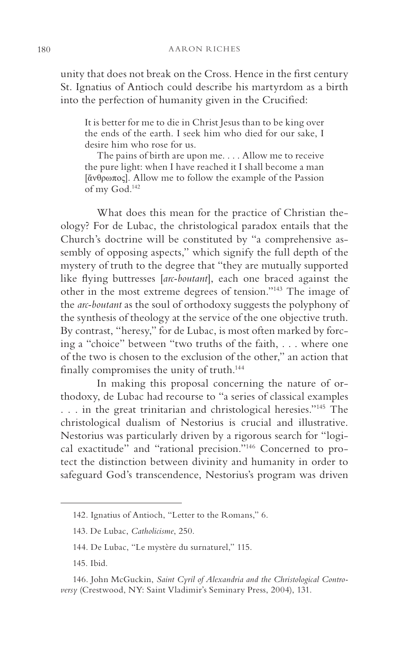unity that does not break on the Cross. Hence in the first century St. Ignatius of Antioch could describe his martyrdom as a birth into the perfection of humanity given in the Crucified:

It is better for me to die in Christ Jesus than to be king over the ends of the earth. I seek him who died for our sake, I desire him who rose for us.

The pains of birth are upon me. . . . Allow me to receive the pure light: when I have reached it I shall become a man [ἄνθρωπος]. Allow me to follow the example of the Passion of my God.142

What does this mean for the practice of Christian theology? For de Lubac, the christological paradox entails that the Church's doctrine will be constituted by "a comprehensive assembly of opposing aspects," which signify the full depth of the mystery of truth to the degree that "they are mutually supported like flying buttresses [*arc-boutant*], each one braced against the other in the most extreme degrees of tension."143 The image of the *arc-boutant* as the soul of orthodoxy suggests the polyphony of the synthesis of theology at the service of the one objective truth. By contrast, "heresy," for de Lubac, is most often marked by forcing a "choice" between "two truths of the faith, . . . where one of the two is chosen to the exclusion of the other," an action that finally compromises the unity of truth.144

In making this proposal concerning the nature of orthodoxy, de Lubac had recourse to "a series of classical examples . . . in the great trinitarian and christological heresies."145 The christological dualism of Nestorius is crucial and illustrative. Nestorius was particularly driven by a rigorous search for "logical exactitude" and "rational precision."146 Concerned to protect the distinction between divinity and humanity in order to safeguard God's transcendence, Nestorius's program was driven

<sup>142.</sup> Ignatius of Antioch, "Letter to the Romans," 6.

<sup>143.</sup> De Lubac, *Catholicisme*, 250.

<sup>144.</sup> De Lubac, "Le mystère du surnaturel," 115.

<sup>145.</sup> Ibid.

<sup>146.</sup> John McGuckin, *Saint Cyril of Alexandria and the Christological Controversy* (Crestwood, NY: Saint Vladimir's Seminary Press, 2004), 131.